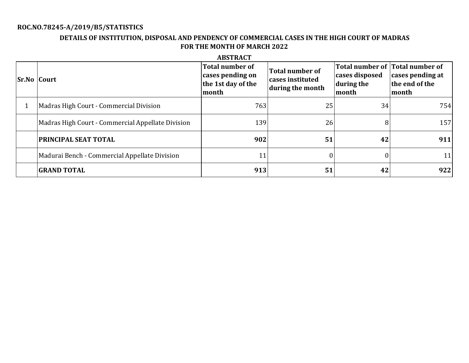# **ROC.NO.78245-A/2019/B5/STATISTICS**

## **DETAILS OF INSTITUTION, DISPOSAL AND PENDENCY OF COMMERCIAL CASES IN THE HIGH COURT OF MADRAS FOR THE MONTH OF MARCH 2022**

| <b>Sr.No Court</b> |                                                   | <b>Total number of</b><br>cases pending on<br>the 1st day of the<br>month | <b>Total number of</b><br>cases instituted<br>during the month | Total number of Total number of<br>cases disposed<br>during the<br>month | cases pending at<br>the end of the<br>month |
|--------------------|---------------------------------------------------|---------------------------------------------------------------------------|----------------------------------------------------------------|--------------------------------------------------------------------------|---------------------------------------------|
|                    | Madras High Court - Commercial Division           | 763                                                                       | 25                                                             | 34                                                                       | 754                                         |
|                    | Madras High Court - Commercial Appellate Division | 139                                                                       | 26                                                             |                                                                          | 157                                         |
|                    | <b>PRINCIPAL SEAT TOTAL</b>                       | 902                                                                       | 51                                                             | 42                                                                       | 911                                         |
|                    | Madurai Bench - Commercial Appellate Division     | 11                                                                        |                                                                |                                                                          | 11                                          |
|                    | <b>GRAND TOTAL</b>                                | 913                                                                       | 51                                                             | 42                                                                       | 922                                         |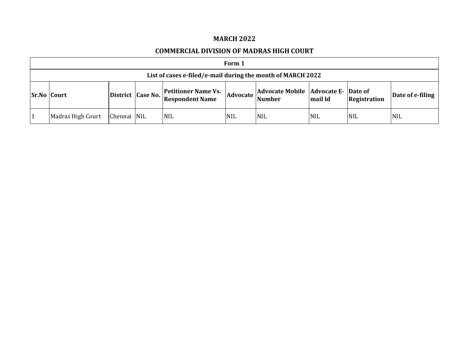### **MARCH 2022**

#### **COMMERCIAL DIVISION OF MADRAS HIGH COURT**

| Form 1                                                      |             |                   |                                                      |            |                                                        |            |                     |                  |  |  |  |
|-------------------------------------------------------------|-------------|-------------------|------------------------------------------------------|------------|--------------------------------------------------------|------------|---------------------|------------------|--|--|--|
| List of cases e-filed/e-mail during the month of MARCH 2022 |             |                   |                                                      |            |                                                        |            |                     |                  |  |  |  |
| <b>Sr.No Court</b>                                          |             | District Case No. | <b>Petitioner Name Vs.</b><br><b>Respondent Name</b> | Advocate   | Advocate Mobile   Advocate E- Date of<br><b>Number</b> | mail Id    | <b>Registration</b> | Date of e-filing |  |  |  |
| Madras High Court                                           | Chennai NIL |                   | <b>NIL</b>                                           | <b>NIL</b> | <b>NIL</b>                                             | <b>NIL</b> | <b>NIL</b>          | <b>NIL</b>       |  |  |  |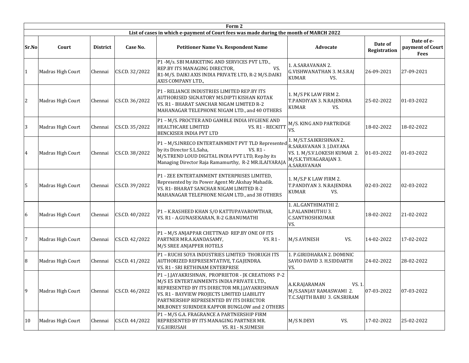|                | Form 2<br>List of cases in which e-payment of Court fees was made during the month of MARCH 2022 |                 |                |                                                                                                                                                                                                                                                                                             |                                                                                                                           |                         |                                               |  |  |  |  |  |
|----------------|--------------------------------------------------------------------------------------------------|-----------------|----------------|---------------------------------------------------------------------------------------------------------------------------------------------------------------------------------------------------------------------------------------------------------------------------------------------|---------------------------------------------------------------------------------------------------------------------------|-------------------------|-----------------------------------------------|--|--|--|--|--|
| Sr.No          | Court                                                                                            | <b>District</b> | Case No.       | <b>Petitioner Name Vs. Respondent Name</b>                                                                                                                                                                                                                                                  | Advocate                                                                                                                  | Date of<br>Registration | Date of e-<br>payment of Court<br><b>Fees</b> |  |  |  |  |  |
|                | Madras High Court                                                                                | Chennai         | CS.CD. 32/2022 | P1 - M/s. SBI MARKETING AND SERVICES PVT LTD.,<br>REP.BY ITS MANAGING DIRECTOR,<br>VS.<br>R1-M/S. DAIKI AXIS INDIA PRIVATE LTD, R-2 M/S.DAIKI<br>AXIS COMPANY LTD.,                                                                                                                         | 1. A.SARAVANAN 2.<br><b>G.VISHWANATHAN 3. M.S.RAJ</b><br><b>KUMAR</b><br>VS.                                              | 26-09-2021              | 27-09-2021                                    |  |  |  |  |  |
| 2              | Madras High Court                                                                                | Chennai         | CS.CD. 36/2022 | P1 - RELIANCE INDUSTRIES LIMITED REP.BY ITS<br>AUTHORISED SIGNATORY MS.DIPTI KISHAN KOTAK<br>VS. R1 - BHARAT SANCHAR NIGAM LIMITED R-2<br>MAHANAGAR TELEPHONE NIGAM LTD., and 40 OTHERS                                                                                                     | 1. M/S PK LAW FIRM 2.<br>T.PANDIYAN 3. N.RAJENDRA<br><b>KUMAR</b><br>VS.                                                  | 25-02-2022              | 01-03-2022                                    |  |  |  |  |  |
| 3              | Madras High Court                                                                                | Chennai         | CS.CD. 35/2022 | P1 - M/S. PROCTER AND GAMBLE INDIA HYGIENE AND<br>HEALTHCARE LIMITED<br>VS. R1 - RECKITT<br>BENCKISER INDIA PVT LTD                                                                                                                                                                         | M/S. KING AND PARTRIDGE<br>VS.                                                                                            | 18-02-2022              | 18-02-2022                                    |  |  |  |  |  |
| $\overline{4}$ | Madras High Court                                                                                | Chennai         | CS.CD. 38/2022 | P1 - M/S.INRECO ENTERTAINMENT PVT TLD Represented<br>by its Director S.L.Saha,<br><b>VS. R1 -</b><br>M/S.TREND LOUD DIGITAL INDIA PVT LTD, Rep.by its<br>Managing Director Raja Ramamurthy, R-2 MR.ILAIYARAJA                                                                               | 1. M/S.T.SAIKRISHNAN 2.<br>R.SARAVANAN 3. J.DAYANA<br>VS. 1. M/S.V.LOKESH KUMAR 2.<br>M/S.K.THYAGARAJAN 3.<br>A.SARAVANAN | 01-03-2022              | 01-03-2022                                    |  |  |  |  |  |
| 5              | Madras High Court                                                                                | Chennai         | CS.CD. 39/2022 | P1 - ZEE ENTERTAINMENT ENTERPRISES LIMITED,<br>Represented by its Power Agent Mr.Akshay Mahadik.<br>VS. R1- BHARAT SANCHAR NIGAM LIMITED R-2<br>MAHANAGAR TELEPHONE NIGAM LTD., and 38 OTHERS                                                                                               | 1. M/S.P K LAW FIRM 2.<br>T.PANDIYAN 3. N.RAJENDRA<br><b>KUMAR</b><br>VS.                                                 | 02-03-2022              | 02-03-2022                                    |  |  |  |  |  |
| 6              | Madras High Court                                                                                | Chennai         | CS.CD. 40/2022 | P1 - K.RASHEED KHAN S/O KATTUPAVAROWTHAR,<br>VS. R1 - A.GUNASEKARAN, R-2 G.BANUMATHI                                                                                                                                                                                                        | 1. AL.GANTHIMATHI 2.<br>L.PALANIMUTHU 3.<br><b>C.SANTHOSHKUMAR</b><br>VS.                                                 | 18-02-2022              | 21-02-2022                                    |  |  |  |  |  |
| 7              | Madras High Court                                                                                | Chennai         | CS.CD. 42/2022 | P1 - M/S ANJAPPAR CHETTNAD REP.BY ONE OF ITS<br>PARTNER MR.A.KANDASAMY,<br>VS. R1 -<br>M/S SREE ANJAPPER HOTELS                                                                                                                                                                             | M/S AVINESH<br>VS.                                                                                                        | 14-02-2022              | 17-02-2022                                    |  |  |  |  |  |
| 8              | Madras High Court                                                                                | Chennai         | CS.CD. 41/2022 | P1 - RUCHI SOYA INDUSTRIES LIMITED THORUGH ITS<br>AUTHORIZED REPRESENTATIVE, T.GAJENDRA.<br>VS. R1 - SRI RETHINAM ENTERPRISE                                                                                                                                                                | 1. P.GIRIDHARAN 2. DOMINIC<br>SAVIO DAVID 3. H.SIDDARTH<br>VS.                                                            | 24-02-2022              | 28-02-2022                                    |  |  |  |  |  |
| 9              | Madras High Court                                                                                | Chennai         | CS.CD. 46/2022 | P1 - J.JAYAKRISHNAN, PROPRIETOR - JK CREATIONS P-2<br>M/S E5 ENTERTAINMENTS INDIA PRIVATE LTD.,<br>REPRESENTED BY ITS DIRECTOR MR.J.JAYAKRISHNAN<br>VS. R1 - BAYVIEW PROJECTS LIMITED LIABILITY<br>PARTNERSHIP REPRESENTED BY ITS DIRECTOR<br>MR.BONEY SURINDER KAPPOR BUNGLOW and 2 OTHERS | A.K.RAJARAMAN<br>VS. 1.<br>M/S.SANJAY RAMASWAMI 2.<br>T.C.SAJITH BABU 3. GN.SRIRAM                                        | 07-03-2022              | 07-03-2022                                    |  |  |  |  |  |
| 10             | Madras High Court                                                                                | Chennai         | CS.CD. 44/2022 | P1 - M/S G.A. FRAGRANCE A PARTNERSHIP FIRM<br>REPRESENTED BY ITS MANAGING PARTNER MR.<br>V.G.HIRUSAH<br>VS. R1 - N.SUMESH                                                                                                                                                                   | VS.<br>M/S N.DEVI                                                                                                         | 17-02-2022              | 25-02-2022                                    |  |  |  |  |  |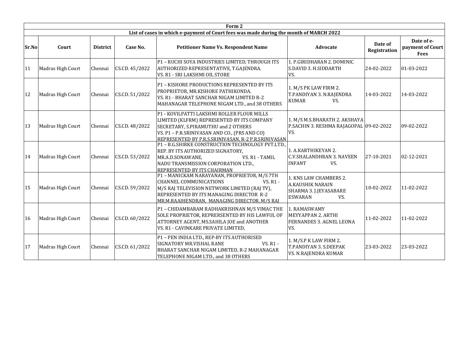|       | Form 2            |                 |                |                                                                                                                                                                                                                                         |                                                                                                      |                         |                                               |  |  |  |  |
|-------|-------------------|-----------------|----------------|-----------------------------------------------------------------------------------------------------------------------------------------------------------------------------------------------------------------------------------------|------------------------------------------------------------------------------------------------------|-------------------------|-----------------------------------------------|--|--|--|--|
|       |                   |                 |                | List of cases in which e-payment of Court fees was made during the month of MARCH 2022                                                                                                                                                  |                                                                                                      |                         |                                               |  |  |  |  |
| Sr.No | Court             | <b>District</b> | Case No.       | <b>Petitioner Name Vs. Respondent Name</b>                                                                                                                                                                                              | <b>Advocate</b>                                                                                      | Date of<br>Registration | Date of e-<br>payment of Court<br><b>Fees</b> |  |  |  |  |
| 11    | Madras High Court | Chennai         | CS.CD. 45/2022 | P1 - RUCHI SOYA INDUSTRIES LIMITED, THROUGH ITS<br>AUTHORIZED REPRESENTATIVE, T.GAJENDRA.<br>VS. R1 - SRI LAKSHMI OIL STORE                                                                                                             | 1. P.GIRIDHARAN 2. DOMINIC<br>S.DAVID 3. H.SIDDARTH<br>VS.                                           | 24-02-2022              | 01-03-2022                                    |  |  |  |  |
| 12    | Madras High Court | Chennai         | CS.CD. 51/2022 | P1 - KISHORE PRODUCTIONS REPRESENTED BY ITS<br>PROPRIETOR, MR.KISHORE PATHIKONDA.<br>VS. R1 - BHARAT SANCHAR NIGAM LIMITED R-2<br>MAHANAGAR TELEPHONE NIGAM LTD., and 38 OTHERS                                                         | 1. M/S PK LAW FIRM 2.<br>T.PANDIYAN 3. N.RAJENDRA<br><b>KUMAR</b><br>VS.                             | 14-03-2022              | 14-03-2022                                    |  |  |  |  |
| 13    | Madras High Court | Chennai         | CS.CD. 48/2022 | P1 - KOVILPATTI LAKSHMI ROLLER FLOUR MILLS<br>LIMITED (KLFRM) REPRESENTED BY ITS COMPANY<br>SECRETARY, S.PIRAMUTHU and 2 OTHERS<br>VS. P1 - P.R.SRINIVASAN AND CO., (PRS AND CO)<br>REPRESENTED BY P.R.S.SRINIVASAN. R-2 P.R.SRINIVASAN | 1. M/S M.S.BHARATH 2. AKSHAYA<br>P.SACHIN 3. RESHMA RAJAGOPAL 09-02-2022<br>VS.                      |                         | 09-02-2022                                    |  |  |  |  |
| 14    | Madras High Court | Chennai         | CS.CD. 53/2022 | P1 - B.G.SHIRKE CONSTRUCTION TECHNOLOGY PVT.LTD.,<br>REP. BY ITS AUTHORIZED SIGNATORY,<br>VS. R1 - TAMIL<br>MR.A.D.SONAWANE,<br>NADU TRANSMISSION CORPORATION LTD.,<br>REPRESENTED BY ITS CHAIRMAN                                      | 1. A.KARTHIKEYAN 2.<br><b>C.V.SHALANDHRAN 3. NAVEEN</b><br><b>INFANT</b><br>VS.                      | 27-10-2021              | 02-12-2021                                    |  |  |  |  |
| 15    | Madras High Court | Chennai         | CS.CD. 59/2022 | P1 - MANICKAM NARAYANAN, PROPRIETOR, M/S 7TH<br>CHANNEL COMMUNICATIONS<br>VS. R1 -<br>M/S RAJ TELEVISION NETWORK LIMITED (RAJ TV),<br>REPRESENTED BY ITS MANAGING DIRECTOR R-2<br>MR.M.RAAIHENDRAN. MANAGING DIRECTOR. M/S RAI          | 1. KNS LAW CHAMBERS 2.<br><b>A.KAUSHIK NARAIN</b><br>SHARMA 3. J.JEYASABARE<br><b>ESWARAN</b><br>VS. | 10-02-2022              | 11-02-2022                                    |  |  |  |  |
| 16    | Madras High Court | Chennai         | CS.CD. 60/2022 | P1 - CHIDAMBARAM RADHAKRISHNAN M/S VIMAC THE<br>SOLE PROPRIETOR, REPRERSENTED BY HIS LAWFUL OF<br>ATTORNEY AGENT, MS.SAHILA JOE and ANOTHER<br>VS. R1 - CAVINKARE PRIVATE LIMITED,                                                      | 1. RAMASWAMY<br>MEYYAPPAN 2. ARTHI<br>FERNANDES 3. AGNEL LEONA<br>VS.                                | 11-02-2022              | 11-02-2022                                    |  |  |  |  |
| 17    | Madras High Court | Chennai         | CS.CD. 61/2022 | P1 - PEN INDIA LTD., REP-BY ITS AUTHORISED<br>VS. R1 -<br>SIGNATORY MR.VISHAL RANE<br>BHARAT SANCHAR NIGAM LIMITED, R-2 MAHANAGAR<br>TELEPHONE NIGAM LTD., and 38 OTHERS                                                                | 1. M/S.P K LAW FIRM 2.<br><b>T.PANDIYAN 3. S.DEEPAK</b><br>VS. N.RAJENDRA KUMAR                      | 23-03-2022              | 23-03-2022                                    |  |  |  |  |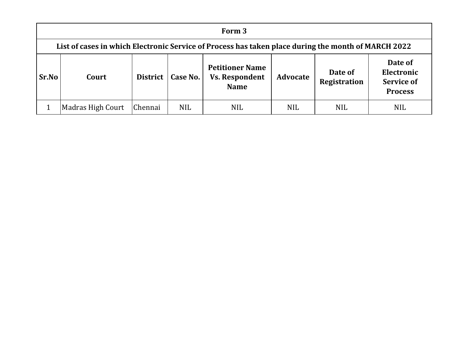|              | Form 3                                                                                              |                 |            |                                                                |                 |                                |                                                              |  |  |  |  |
|--------------|-----------------------------------------------------------------------------------------------------|-----------------|------------|----------------------------------------------------------------|-----------------|--------------------------------|--------------------------------------------------------------|--|--|--|--|
|              | List of cases in which Electronic Service of Process has taken place during the month of MARCH 2022 |                 |            |                                                                |                 |                                |                                                              |  |  |  |  |
| <b>Sr.No</b> | Court                                                                                               | <b>District</b> | Case No.   | <b>Petitioner Name</b><br><b>Vs. Respondent</b><br><b>Name</b> | <b>Advocate</b> | Date of<br><b>Registration</b> | Date of<br>Electronic<br><b>Service of</b><br><b>Process</b> |  |  |  |  |
|              | Madras High Court                                                                                   | Chennai         | <b>NIL</b> | <b>NIL</b>                                                     | <b>NIL</b>      | <b>NIL</b>                     | <b>NIL</b>                                                   |  |  |  |  |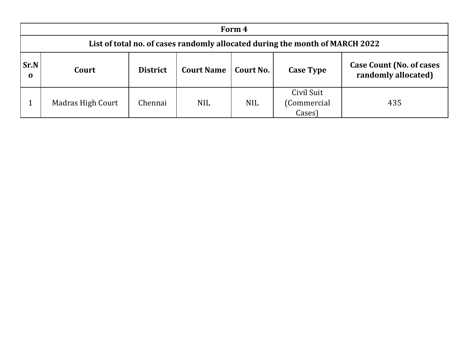|                            | Form 4                                                                       |                 |                   |            |                                     |                                                         |  |  |  |  |  |
|----------------------------|------------------------------------------------------------------------------|-----------------|-------------------|------------|-------------------------------------|---------------------------------------------------------|--|--|--|--|--|
|                            | List of total no. of cases randomly allocated during the month of MARCH 2022 |                 |                   |            |                                     |                                                         |  |  |  |  |  |
| <b>Sr.N</b><br>$\mathbf 0$ | Court                                                                        | <b>District</b> | <b>Court Name</b> | Court No.  | <b>Case Type</b>                    | <b>Case Count (No. of cases)</b><br>randomly allocated) |  |  |  |  |  |
|                            | <b>Madras High Court</b>                                                     | Chennai         | <b>NIL</b>        | <b>NIL</b> | Civil Suit<br>(Commercial<br>Cases) | 435                                                     |  |  |  |  |  |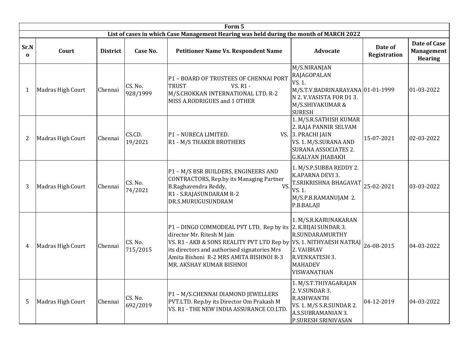|                  |                   |                 |                     | Form 5                                                                                                                                                                                                                                                             |                                                                                                                                                          |                                |                                       |
|------------------|-------------------|-----------------|---------------------|--------------------------------------------------------------------------------------------------------------------------------------------------------------------------------------------------------------------------------------------------------------------|----------------------------------------------------------------------------------------------------------------------------------------------------------|--------------------------------|---------------------------------------|
|                  |                   |                 |                     | List of cases in which Case Management Hearing was held during the month of MARCH 2022                                                                                                                                                                             |                                                                                                                                                          |                                |                                       |
| Sr.N<br>$\Omega$ | Court             | <b>District</b> | Case No.            | <b>Petitioner Name Vs. Respondent Name</b>                                                                                                                                                                                                                         | <b>Advocate</b>                                                                                                                                          | Date of<br><b>Registration</b> | Date of Case<br>Management<br>Hearing |
| 1                | Madras High Court | Chennai         | CS. No.<br>928/1999 | P1 - BOARD OF TRUSTEES OF CHENNAI PORT<br><b>VS. R1 -</b><br><b>TRUST</b><br>M/S.CHOKKAN INTERNATIONAL LTD. R-2<br>MISS A.RODRIGUES and 1 OTHER                                                                                                                    | M/S.NIRANJAN<br>RAJAGOPALAN<br>VS. 1.<br>M/S.T.V.BADRINARAYANA 01-01-1999<br>N 2. V.VASISTA FOR D13.<br>M/S.SHIVAKUMAR &<br><b>SURESH</b>                |                                | 01-03-2022                            |
| 2                | Madras High Court | Chennai         | CS.CD.<br>19/2021   | P1 - NURECA LIMITED.<br>R1 - M/S THAKER BROTHERS                                                                                                                                                                                                                   | 1. M/S.R.SATHISH KUMAR<br>2. RAJA PANNIR SELVAM<br>VS. 3. PRACHI JAIN<br>VS. 1. M/S.SURANA AND<br><b>SURANA ASSOCIATES 2.</b><br><b>G.KALYAN JHABAKH</b> | 15-07-2021                     | 02-03-2022                            |
| 3                | Madras High Court | Chennai         | CS. No.<br>74/2021  | P1 - M/S BSR BUILDERS, ENGINEERS AND<br>CONTRACTORS, Rep.by its Managing Partner<br>B.Raghavendra Reddy,<br>VS.<br>R1 - S.RAJASUNDARAM R-2<br>DR.S.MURUGUSUNDRAM                                                                                                   | 1. M/S.P.SUBBA REDDY 2.<br>K.APARNA DEVI 3.<br>T.SRIKRISHNA BHAGAVAT<br>VS. 1.<br>M/S.P.B.RAMANUJAM 2.<br>P.B.BALAJI                                     | 25-02-2021                     | 03-03-2022                            |
| 4                | Madras High Court | Chennai         | CS. No.<br>715/2015 | $P1$ – DINGO COMMODEAL PVT LTD, Rep by its 2. K.BIJAI SUNDAR 3.<br>director Mr. Ritesh M Jain<br>VS. R1 - AKB & SONS REALITY PVT LTD Rep by<br>its directors and authorised signatories Mrs<br>Amita Bishoni R-2 MRS AMITA BISHNOI R-3<br>MR. AKSHAY KUMAR BISHNOI | 1. M/S.R.KARUNAKARAN<br>R.SUNDARAMURTHY<br><b>VS. 1. NITHYAESH NATRAJ</b><br>2. VAIBHAV<br>R.VENKATESH 3.<br><b>MAHADEV</b><br>VISWANATHAN               | 26-08-2015                     | 04-03-2022                            |
| 5                | Madras High Court | Chennai         | CS. No.<br>692/2019 | P1 - M/S.CHENNAI DIAMOND JEWELLERS<br>PVT.LTD. Rep.by its Director Om Prakash M<br>VS. R1 - THE NEW INDIA ASSURANCE CO.LTD.                                                                                                                                        | 1. M/S.T.THIYAGARAJAN<br>2. V.SUNDAR 3.<br>R.ASHWANTH<br>VS. 1. M/S S.R.SUNDAR 2.<br>A.S.SUBRAMANIAN 3.<br>P.SURESH SRINIVASAN                           | 04-12-2019                     | 04-03-2022                            |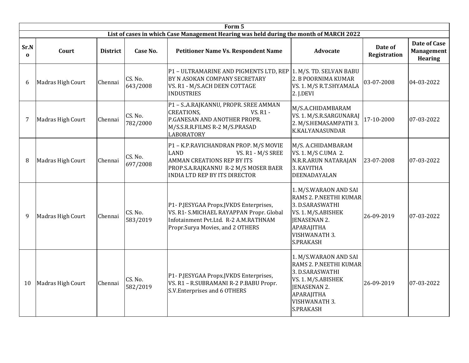|                      |                   |                 |                     | Form 5                                                                                                                                                                                         |                                                                                                                                                                    |                                |                                                     |
|----------------------|-------------------|-----------------|---------------------|------------------------------------------------------------------------------------------------------------------------------------------------------------------------------------------------|--------------------------------------------------------------------------------------------------------------------------------------------------------------------|--------------------------------|-----------------------------------------------------|
|                      |                   |                 |                     | List of cases in which Case Management Hearing was held during the month of MARCH 2022                                                                                                         |                                                                                                                                                                    |                                |                                                     |
| Sr.N<br>$\mathbf{0}$ | Court             | <b>District</b> | Case No.            | <b>Petitioner Name Vs. Respondent Name</b>                                                                                                                                                     | <b>Advocate</b>                                                                                                                                                    | Date of<br><b>Registration</b> | Date of Case<br><b>Management</b><br><b>Hearing</b> |
| 6                    | Madras High Court | Chennai         | CS. No.<br>643/2008 | P1 - ULTRAMARINE AND PIGMENTS LTD, REP<br>BY N ASOKAN COMPANY SECRETARY<br>VS. R1 - M/S.ACH DEEN COTTAGE<br><b>INDUSTRIES</b>                                                                  | 1. M/S. TD. SELVAN BABU<br>2. B POORNIMA KUMAR<br>VS. 1. M/S R.T.SHYAMALA<br>2. J.DEVI                                                                             | 03-07-2008                     | 04-03-2022                                          |
| 7                    | Madras High Court | Chennai         | CS. No.<br>782/2000 | P1 - SA.RAJKANNU, PROPR. SREE AMMAN<br><b>CREATIONS,</b><br>VS. R1 -<br>P.GANESAN AND ANOTHER PROPR.<br>M/S.S.R.R.FILMS R-2 M/S.PRASAD<br><b>LABORATORY</b>                                    | M/S.A.CHIDAMBARAM<br>VS. 1. M/S.R.SARGUNARAJ<br>2. M/S.HEMASAMPATH 3.<br><b>K.KALYANASUNDAR</b>                                                                    | 17-10-2000                     | 07-03-2022                                          |
| 8                    | Madras High Court | Chennai         | CS. No.<br>697/2008 | P1 - K.P.RAVICHANDRAN PROP. M/S MOVIE<br><b>LAND</b><br>VS. R1 - M/S SREE<br><b>AMMAN CREATIONS REP BY ITS</b><br>PROP.S.A.RAJKANNU R-2 M/S MOSER BAER<br><b>INDIA LTD REP BY ITS DIRECTOR</b> | M/S. A.CHIDAMBARAM<br>VS. 1. M/S C.UMA 2.<br>N.R.R.ARUN NATARAJAN<br>3. KAVITHA<br>DEENADAYALAN                                                                    | 23-07-2008                     | 07-03-2022                                          |
| 9                    | Madras High Court | Chennai         | CS. No.<br>583/2019 | P1- P.JESYGAA Propx.JVKDS Enterprises,<br>VS. R1- S.MICHAEL RAYAPPAN Propr. Global<br>Infotainment Pvt.Ltd. R-2 A.M.RATHNAM<br>Propr.Surya Movies, and 2 OTHERS                                | 1. M/S.WARAON AND SAI<br>RAMS 2. P.NEETHI KUMAR<br>3. D.SARASWATHI<br>VS. 1. M/S.ABISHEK<br><b>JENASENAN 2.</b><br>APARAJITHA<br>VISHWANATH 3.<br>S.PRAKASH        | 26-09-2019                     | 07-03-2022                                          |
| 10                   | Madras High Court | Chennai         | CS. No.<br>582/2019 | P1- P.JESYGAA Propx.JVKDS Enterprises,<br>VS. R1 - R.SUBRAMANI R-2 P.BABU Propr.<br>S.V.Enterprises and 6 OTHERS                                                                               | 1. M/S.WARAON AND SAI<br>RAMS 2. P.NEETHI KUMAR<br>3. D.SARASWATHI<br>VS. 1. M/S.ABISHEK<br><b>JENASENAN 2.</b><br>APARAJITHA<br><b>VISHWANATH 3.</b><br>S.PRAKASH | 26-09-2019                     | 07-03-2022                                          |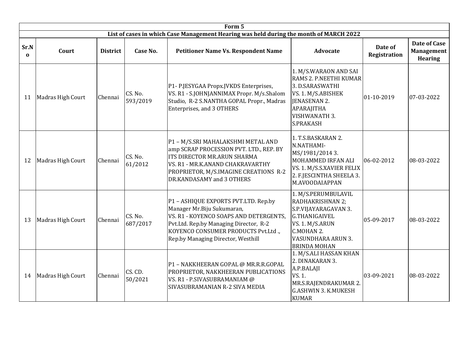|                  |                   |                 |                     | Form 5                                                                                                                                                                                                                              |                                                                                                                                                                       |                         |                                                            |
|------------------|-------------------|-----------------|---------------------|-------------------------------------------------------------------------------------------------------------------------------------------------------------------------------------------------------------------------------------|-----------------------------------------------------------------------------------------------------------------------------------------------------------------------|-------------------------|------------------------------------------------------------|
|                  |                   |                 |                     | List of cases in which Case Management Hearing was held during the month of MARCH 2022                                                                                                                                              |                                                                                                                                                                       |                         |                                                            |
| Sr.N<br>$\bf{0}$ | Court             | <b>District</b> | Case No.            | <b>Petitioner Name Vs. Respondent Name</b>                                                                                                                                                                                          | <b>Advocate</b>                                                                                                                                                       | Date of<br>Registration | <b>Date of Case</b><br><b>Management</b><br><b>Hearing</b> |
| 11               | Madras High Court | Chennai         | CS. No.<br>593/2019 | P1- P.JESYGAA Propx.JVKDS Enterprises,<br>VS. R1 - S.JOHNJANNIMAX Propr. M/s.Shalom<br>Studio, R-2 S.NANTHA GOPAL Propr., Madras<br>Enterprises, and 3 OTHERS                                                                       | 1. M/S.WARAON AND SAI<br>RAMS 2. P.NEETHI KUMAR<br>3. D.SARASWATHI<br>VS. 1. M/S.ABISHEK<br>JENASENAN 2.<br>APARAJITHA<br><b>VISHWANATH 3.</b><br><b>S.PRAKASH</b>    | 01-10-2019              | 07-03-2022                                                 |
| 12               | Madras High Court | Chennai         | CS. No.<br>61/2012  | P1 - M/S.SRI MAHALAKSHMI METAL AND<br>amp SCRAP PROCESSION PVT. LTD., REP. BY<br>ITS DIRECTOR MR.ARUN SHARMA<br>VS. R1 - MR.K.ANAND CHAKRAVARTHY<br>PROPRIETOR, M/S.IMAGINE CREATIONS R-2<br>DR.KANDASAMY and 3 OTHERS              | 1. T.S.BASKARAN 2.<br>N.NATHAMI-<br>MS/1981/2014 3.<br>MOHAMMED IRFAN ALI<br>VS. 1. M/S.S.XAVIER FELIX<br>2. F.JESCINTHA SHEELA 3.<br>M.AVOODAIAPPAN                  | 06-02-2012              | 08-03-2022                                                 |
| 13               | Madras High Court | Chennai         | CS. No.<br>687/2017 | P1 - ASHIQUE EXPORTS PVT.LTD. Rep.by<br>Manager Mr.Biju Sukumaran,<br>VS. R1 - KOYENCO SOAPS AND DETERGENTS,<br>Pvt.Ltd. Rep.by Managing Director, R-2<br>KOYENCO CONSUMER PRODUCTS Pvt.Ltd.,<br>Rep.by Managing Director, Westhill | 1. M/S.PERUMBULAVIL<br>RADHAKRISHNAN 2;<br>S.P.VIJAYARAGAVAN 3.<br><b>G.THANIGAIVEL</b><br>VS. 1. M/S.ARUN<br>C.MOHAN 2.<br>VASUNDHARA ARUN 3.<br><b>BRINDA MOHAN</b> | 05-09-2017              | 08-03-2022                                                 |
| 14               | Madras High Court | Chennai         | CS. CD.<br>50/2021  | P1 - NAKKHEERAN GOPAL @ MR.R.R.GOPAL<br>PROPRIETOR, NAKKHEERAN PUBLICATIONS<br>VS. R1 - P.SIVASUBRAMANIAM @<br>SIVASUBRAMANIAN R-2 SIVA MEDIA                                                                                       | 1. M/S.ALI HASSAN KHAN<br>2. DINAKARAN 3.<br>A.P.BALAJI<br>VS. 1.<br>MR.S.RAJENDRAKUMAR 2.<br><b>G.ASHWIN 3. K.MUKESH</b><br><b>KUMAR</b>                             | 03-09-2021              | 08-03-2022                                                 |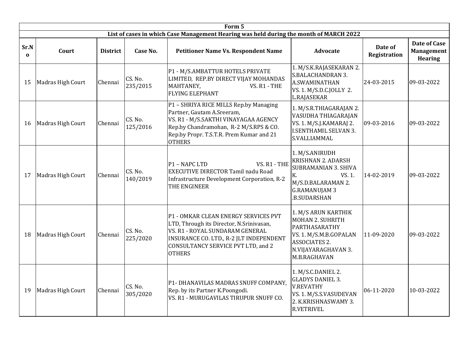|                  |                   |                 |                     | Form 5                                                                                                                                                                                                                |                                                                                                                                                          |                                |                                                     |
|------------------|-------------------|-----------------|---------------------|-----------------------------------------------------------------------------------------------------------------------------------------------------------------------------------------------------------------------|----------------------------------------------------------------------------------------------------------------------------------------------------------|--------------------------------|-----------------------------------------------------|
|                  |                   |                 |                     | List of cases in which Case Management Hearing was held during the month of MARCH 2022                                                                                                                                |                                                                                                                                                          |                                |                                                     |
| Sr.N<br>$\Omega$ | Court             | <b>District</b> | Case No.            | <b>Petitioner Name Vs. Respondent Name</b>                                                                                                                                                                            | <b>Advocate</b>                                                                                                                                          | Date of<br><b>Registration</b> | Date of Case<br><b>Management</b><br><b>Hearing</b> |
| 15               | Madras High Court | Chennai         | CS. No.<br>235/2015 | P1 - M/S.AMBATTUR HOTELS PRIVATE<br>LIMITED, REP.BY DIRECT VIJAY MOHANDAS<br>MAHTANEY,<br>VS. R1 - THE<br><b>FLYING ELEPHANT</b>                                                                                      | 1. M/S.K.RAJASEKARAN 2.<br><b>S.BALACHANDRAN 3.</b><br><b>A.SWAMINATHAN</b><br>VS. 1. M/S.D.C.JOLLY 2.<br>L.RAJASEKAR                                    | 24-03-2015                     | 09-03-2022                                          |
| 16               | Madras High Court | Chennai         | CS. No.<br>125/2016 | P1 - SHRIYA RICE MILLS Rep.by Managing<br>Partner, Gautam A.Sreeram,<br>VS. R1 - M/S.SAKTHI VINAYAGAA AGENCY<br>Rep.by Chandramohan, R-2 M/S.RPS & CO.<br>Rep.by Propr. T.S.T.R. Prem Kumar and 21<br><b>OTHERS</b>   | 1. M/S.R.THIAGARAJAN 2.<br>VASUDHA THIAGARAJAN<br>VS. 1. M/S.J.KAMARAJ 2.<br><b>I.SENTHAMIL SELVAN 3.</b><br>S.VALLIAMMAL                                | 09-03-2016                     | 09-03-2022                                          |
| 17               | Madras High Court | Chennai         | CS. No.<br>140/2019 | VS. R1 - THE<br>P1 - NAPC LTD<br><b>EXECUTIVE DIRECTOR Tamil nadu Road</b><br>Infrastructure Development Corporation, R-2<br>THE ENGINEER                                                                             | 1. M/S.ANIRUDH<br><b>KRISHNAN 2. ADARSH</b><br><b>SUBRAMANIAN 3. SHIVA</b><br>VS. 1.<br>К.<br>M/S.D.BALARAMAN 2.<br><b>G.RAMANUJAM 3</b><br>.B.SUDARSHAN | 14-02-2019                     | 09-03-2022                                          |
| 18               | Madras High Court | Chennai         | CS. No.<br>225/2020 | P1 - OMKAR CLEAN ENERGY SERVICES PVT<br>LTD, Through its Director, N.Srinivasan,<br>VS. R1 - ROYAL SUNDARAM GENERAL<br>INSURANCE CO. LTD., R-2 JLT INDEPENDENT<br>CONSULTANCY SERVICE PVT LTD, and 2<br><b>OTHERS</b> | 1. M/S ARUN KARTHIK<br><b>MOHAN 2. SUHRITH</b><br>PARTHASARATHY<br>VS. 1. M/S.M.B.GOPALAN<br><b>ASSOCIATES 2.</b><br>N.VIJAYARAGHAVAN 3.<br>M.B.RAGHAVAN | 11-09-2020                     | 09-03-2022                                          |
| 19               | Madras High Court | Chennai         | CS. No.<br>305/2020 | P1- DHANAVILAS MADRAS SNUFF COMPANY,<br>Rep. by its Partner K.Poongodi.<br>VS. R1 - MURUGAVILAS TIRUPUR SNUFF CO.                                                                                                     | 1. M/S.C.DANIEL 2.<br><b>GLADYS DANIEL 3.</b><br><b>V.REVATHY</b><br>VS. 1. M/S.S.VASUDEVAN<br>2. K.KRISHNASWAMY 3.<br><b>R.VETRIVEL</b>                 | 06-11-2020                     | 10-03-2022                                          |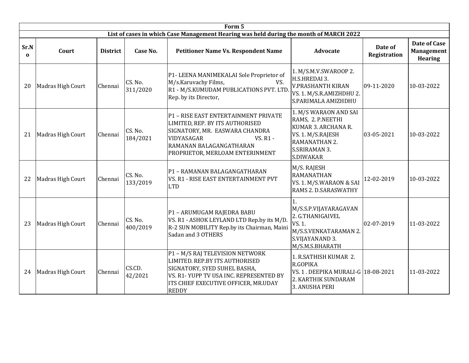|                  | Form 5            |                 |                     |                                                                                                                                                                                                     |                                                                                                                                              |                         |                                                     |  |  |  |  |
|------------------|-------------------|-----------------|---------------------|-----------------------------------------------------------------------------------------------------------------------------------------------------------------------------------------------------|----------------------------------------------------------------------------------------------------------------------------------------------|-------------------------|-----------------------------------------------------|--|--|--|--|
|                  |                   |                 |                     | List of cases in which Case Management Hearing was held during the month of MARCH 2022                                                                                                              |                                                                                                                                              |                         |                                                     |  |  |  |  |
| Sr.N<br>$\bf{0}$ | Court             | <b>District</b> | Case No.            | <b>Petitioner Name Vs. Respondent Name</b>                                                                                                                                                          | <b>Advocate</b>                                                                                                                              | Date of<br>Registration | Date of Case<br><b>Management</b><br><b>Hearing</b> |  |  |  |  |
| 20               | Madras High Court | Chennai         | CS. No.<br>311/2020 | P1- LEENA MANIMEKALAI Sole Proprietor of<br>M/s.Karuvachy Films,<br>VS.<br>R1 - M/S.KUMUDAM PUBLICATIONS PVT. LTD.<br>Rep. by its Director,                                                         | 1. M/S.M.V.SWAROOP 2.<br>H.S.HREDAI 3.<br><b>V.PRASHANTH KIRAN</b><br>VS. 1. M/S.R.AMIZHDHU 2.<br>S.PARIMALA AMIZHDHU                        | 09-11-2020              | 10-03-2022                                          |  |  |  |  |
| 21               | Madras High Court | Chennai         | CS. No.<br>184/2021 | P1 - RISE EAST ENTERTAINMENT PRIVATE<br>LIMITED, REP. BY ITS AUTHORISED<br>SIGNATORY, MR. EASWARA CHANDRA<br>VIDYASAGAR<br>VS. R1 -<br>RAMANAN BALAGANGATHARAN<br>PROPRIETOR, MERLOAM ENTERINMENT   | 1. M/S WARAON AND SAI<br>RAMS, 2. P.NEETHI<br>KUMAR 3. ARCHANA R.<br>VS. 1. M/S.RAJESH<br>RAMANATHAN 2.<br><b>S.SRIRAMAN 3.</b><br>S.DIWAKAR | 03-05-2021              | 10-03-2022                                          |  |  |  |  |
| 22               | Madras High Court | Chennai         | CS. No.<br>133/2019 | P1 - RAMANAN BALAGANGATHARAN<br>VS. R1 - RISE EAST ENTERTAINMENT PVT<br><b>LTD</b>                                                                                                                  | M/S. RAJESH<br><b>RAMANATHAN</b><br>VS. 1. M/S.WARAON & SAI<br>RAMS 2. D.SARASWATHY                                                          | 12-02-2019              | 10-03-2022                                          |  |  |  |  |
| 23               | Madras High Court | Chennai         | CS. No.<br>400/2019 | P1 - ARUMUGAM RAJEDRA BABU<br>VS. R1 - ASHOK LEYLAND LTD Rep.by its M/D.<br>R-2 SUN MOBILITY Rep.by its Chairman, Maini<br>Sadan and 3 OTHERS                                                       | M/S.S.P.VIJAYARAGAVAN<br>2. G.THANIGAIVEL<br>VS. 1.<br>M/S.S.VENKATARAMAN 2.<br>S.VIJAYANAND 3.<br>M/S.M.S.BHARATH                           | 02-07-2019              | 11-03-2022                                          |  |  |  |  |
| 24               | Madras High Court | Chennai         | CS.CD.<br>42/2021   | P1 - M/S RAJ TELEVISION NETWORK<br>LIMITED. REP.BY ITS AUTHORISED<br>SIGNATORY, SYED SUHEL BASHA,<br>VS. R1-YUPP TV USA INC. REPRESENTED BY<br>ITS CHIEF EXECUTIVE OFFICER, MR.UDAY<br><b>REDDY</b> | 1. R.SATHISH KUMAR 2.<br>R.GOPIKA<br>VS. 1. DEEPIKA MURALI-G 18-08-2021<br>2. KARTHIK SUNDARAM<br>3. ANUSHA PERI                             |                         | 11-03-2022                                          |  |  |  |  |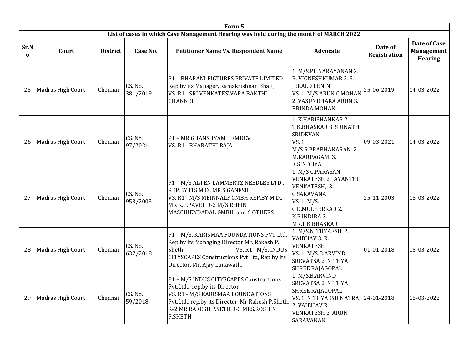|                  |                   |                 |                     | Form 5                                                                                                                                                                                                                       |                                                                                                                                                                       |                                |                                                            |
|------------------|-------------------|-----------------|---------------------|------------------------------------------------------------------------------------------------------------------------------------------------------------------------------------------------------------------------------|-----------------------------------------------------------------------------------------------------------------------------------------------------------------------|--------------------------------|------------------------------------------------------------|
|                  |                   |                 |                     | List of cases in which Case Management Hearing was held during the month of MARCH 2022                                                                                                                                       |                                                                                                                                                                       |                                |                                                            |
| Sr.N<br>$\Omega$ | Court             | <b>District</b> | Case No.            | <b>Petitioner Name Vs. Respondent Name</b>                                                                                                                                                                                   | <b>Advocate</b>                                                                                                                                                       | Date of<br><b>Registration</b> | <b>Date of Case</b><br><b>Management</b><br><b>Hearing</b> |
| 25               | Madras High Court | Chennai         | CS. No.<br>381/2019 | P1 - BHARANI PICTURES PRIVATE LIMITED<br>Rep by its Manager, Ramakrishnan Bhatt,<br>VS. R1 - SRI VENKATESWARA BAKTHI<br><b>CHANNEL</b>                                                                                       | 1. M/S.PL.NARAYANAN 2.<br>R. VIGNESHKUMAR 3. S.<br><b>JERALD LENIN</b><br>VS. 1. M/S.ARUN C.MOHAN<br>2. VASUNDHARA ARUN 3.<br><b>BRINDA MOHAN</b>                     | 25-06-2019                     | 14-03-2022                                                 |
| 26               | Madras High Court | Chennai         | CS. No.<br>97/2021  | P1 - MR.GHANSHYAM HEMDEV<br>VS. R1 - BHARATHI RAJA                                                                                                                                                                           | 1. K.HARISHANKAR 2.<br>T.K.BHASKAR 3. SRINATH<br><b>SRIDEVAN</b><br>VS. 1.<br>M/S.R.PRABHAKARAN 2.<br>M.KARPAGAM 3.<br>K.SINDHYA                                      | 09-03-2021                     | 14-03-2022                                                 |
| 27               | Madras High Court | Chennai         | CS. No.<br>953/2003 | P1 - M/S ALTEN LAMMERTZ NEEDLES LTD.,<br>REP.BY ITS M.D., MR S.GANESH<br>VS. R1 - M/S MEINNALF GMBH REP.BY M.D.,<br>MR K.P.PAVEL R-2 M/S RHEIN<br>MASCHIENDADAL GMBH and 6 OTHERS                                            | 1. M/S C.PARASAN<br>VENKATESH 2. JAYANTHI<br>VENKATESH, 3.<br><b>C.SARAVANA</b><br>VS. 1. M/S.<br><b>C.D.MULHERKAR 2.</b><br>K.P.INDIRA 3.<br>MR.T.K.BHASKAR          | 25-11-2003                     | 15-03-2022                                                 |
| 28               | Madras High Court | Chennai         | CS. No.<br>632/2018 | P1 - M/S. KARISMAA FOUNDATIONS PVT Ltd,<br>Rep by its Managing Director Mr. Rakesh P.<br>Sheth<br>VS. R1 - M/S. INDUS<br>CITYSCAPES Constructions Pvt Ltd, Rep by its<br>Director, Mr. Ajay Lunawath,                        | 1. M/S.NITHYAESH 2.<br>VAIBHAV 3. R.<br><b>VENKATESH</b><br>VS. 1. M/S.B.ARVIND<br>SREVATSA 2. NITHYA<br><b>SHREE RAJAGOPAL</b>                                       | 01-01-2018                     | 15-03-2022                                                 |
| 29               | Madras High Court | Chennai         | CS. No.<br>59/2018  | P1 - M/S INDUS CITYSCAPES Constructions<br>Pvt.Ltd., rep.by its Director<br>VS. R1 - M/S KARISMAA FOUNDATIONS<br>Pvt.Ltd., rep.by its Director, Mr.Rakesh P.Sheth,<br>R-2 MR.RAKESH P.SETH R-3 MRS.ROSHINI<br><b>P.SHETH</b> | 1. M/S.B.ARVIND<br><b>SREVATSA 2. NITHYA</b><br><b>SHREE RAJAGOPAL</b><br>VS. 1. NITHYAESH NATRAJ 24-01-2018<br>2. VAIBHAV R<br><b>VENKATESH 3. ARUN</b><br>SARAVANAN |                                | 15-03-2022                                                 |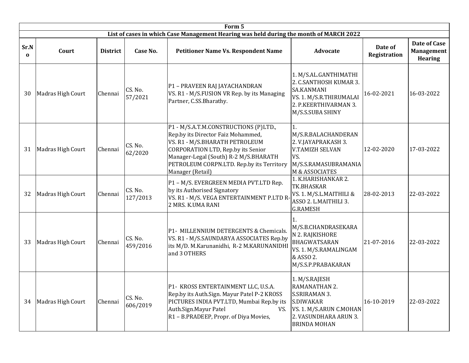|                  | Form 5            |                                                                                                                                                                                                                                                                                                               |                     |                                                                                                                                                                                                                                                               |                                                                                                                                              |                                |                                                            |  |  |  |  |  |  |
|------------------|-------------------|---------------------------------------------------------------------------------------------------------------------------------------------------------------------------------------------------------------------------------------------------------------------------------------------------------------|---------------------|---------------------------------------------------------------------------------------------------------------------------------------------------------------------------------------------------------------------------------------------------------------|----------------------------------------------------------------------------------------------------------------------------------------------|--------------------------------|------------------------------------------------------------|--|--|--|--|--|--|
|                  |                   |                                                                                                                                                                                                                                                                                                               |                     | List of cases in which Case Management Hearing was held during the month of MARCH 2022                                                                                                                                                                        |                                                                                                                                              |                                |                                                            |  |  |  |  |  |  |
| Sr.N<br>$\Omega$ | Court             | <b>District</b>                                                                                                                                                                                                                                                                                               | Case No.            | <b>Petitioner Name Vs. Respondent Name</b>                                                                                                                                                                                                                    | <b>Advocate</b>                                                                                                                              | Date of<br><b>Registration</b> | <b>Date of Case</b><br><b>Management</b><br><b>Hearing</b> |  |  |  |  |  |  |
| 30               | Madras High Court | Chennai                                                                                                                                                                                                                                                                                                       | CS. No.<br>57/2021  | P1 - PRAVEEN RAJ JAYACHANDRAN<br>VS. R1 - M/S.FUSION VR Rep. by its Managing<br>Partner, C.SS.Bharathy.                                                                                                                                                       | 1. M/S.AL.GANTHIMATHI<br>2. C.SANTHOSH KUMAR 3.<br><b>SA.KANMANI</b><br>VS. 1. M/S.R.THIRUMALAI<br>2. P.KEERTHIVARMAN 3.<br>M/S.S.SUBA SHINY | 16-02-2021                     | 16-03-2022                                                 |  |  |  |  |  |  |
| 31               | Madras High Court | Chennai                                                                                                                                                                                                                                                                                                       | CS. No.<br>62/2020  | P1 - M/S.A.T.M.CONSTRUCTIONS (P)LTD.,<br>Rep.by its Director Faiz Mohammed,<br>VS. R1 - M/S.BHARATH PETROLEUM<br>CORPORATION LTD, Rep.by its Senior<br>Manager-Legal (South) R-2 M/S.BHARATH<br>PETROLEUM CORPN.LTD. Rep.by its Territory<br>Manager (Retail) | 1.<br>M/S.R.BALACHANDERAN<br>2. V.JAYAPRAKASH 3.<br><b>V.TAMIZH SELVAN</b><br>VS.<br>M/S.S.RAMASUBRAMANIA<br><b>M &amp; ASSOCIATES</b>       | 12-02-2020                     | 17-03-2022                                                 |  |  |  |  |  |  |
| 32               | Madras High Court | Chennai                                                                                                                                                                                                                                                                                                       | CS. No.<br>127/2013 | P1 - M/S. EVERGREEN MEDIA PVT.LTD Rep.<br>by its Authorised Signatory<br>VS. R1 - M/S. VEGA ENTERTAINMENT P.LTD R-<br>2 MRS. K.UMA RANI                                                                                                                       | 1. K.HARISHANKAR 2.<br>TK.BHASKAR<br>VS. 1. M/S.L.MAITHILI &<br>ASSO 2. L.MAITHILI 3.<br><b>G.RAMESH</b>                                     | 28-02-2013                     | 22-03-2022                                                 |  |  |  |  |  |  |
| 33               | Madras High Court | 1.<br>M/S.B.CHANDRASEKARA<br>P1- MILLENNIUM DETERGENTS & Chemicals.<br>N 2. RAJKISHORE<br>CS. No.<br>VS. R1 - M/S.SAUNDARYA ASSOCIATES Rep.by<br>Chennai<br>BHAGWATSARAN<br>459/2016<br>its M/D. M.Karunanidhi, R-2 M.KARUNANIDHI<br>VS. 1. M/S.RAMALINGAM<br>and 3 OTHERS<br>& ASSO 2.<br>M/S.S.P.PRABAKARAN |                     | 21-07-2016                                                                                                                                                                                                                                                    | 22-03-2022                                                                                                                                   |                                |                                                            |  |  |  |  |  |  |
| 34               | Madras High Court | Chennai                                                                                                                                                                                                                                                                                                       | CS. No.<br>606/2019 | P1- KROSS ENTERTAINMENT LLC, U.S.A.<br>Rep.by its Auth.Sign. Mayur Patel P-2 KROSS<br>PICTURES INDIA PVT.LTD, Mumbai Rep.by its<br>Auth.Sign.Mayur Patel<br>VS.<br>R1 - B.PRADEEP, Propr. of Diya Movies,                                                     | 1. M/S.RAJESH<br>RAMANATHAN 2.<br>S.SRIRAMAN 3.<br>S.DIWAKAR<br>VS. 1. M/S.ARUN C.MOHAN<br>2. VASUNDHARA ARUN 3.<br><b>BRINDA MOHAN</b>      | 16-10-2019                     | 22-03-2022                                                 |  |  |  |  |  |  |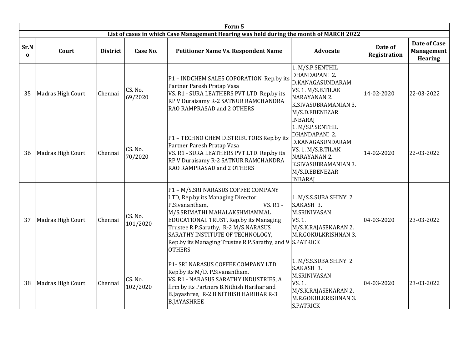|                      | Form 5            |                 |                     |                                                                                                                                                                                                                                                                                                                                                       |                                                                                                                                                         |                         |                                                     |  |  |  |  |  |  |
|----------------------|-------------------|-----------------|---------------------|-------------------------------------------------------------------------------------------------------------------------------------------------------------------------------------------------------------------------------------------------------------------------------------------------------------------------------------------------------|---------------------------------------------------------------------------------------------------------------------------------------------------------|-------------------------|-----------------------------------------------------|--|--|--|--|--|--|
|                      |                   |                 |                     | List of cases in which Case Management Hearing was held during the month of MARCH 2022                                                                                                                                                                                                                                                                |                                                                                                                                                         |                         |                                                     |  |  |  |  |  |  |
| Sr.N<br>$\mathbf{0}$ | Court             | <b>District</b> | Case No.            | <b>Petitioner Name Vs. Respondent Name</b>                                                                                                                                                                                                                                                                                                            | <b>Advocate</b>                                                                                                                                         | Date of<br>Registration | Date of Case<br><b>Management</b><br><b>Hearing</b> |  |  |  |  |  |  |
| 35                   | Madras High Court | Chennai         | CS. No.<br>69/2020  | 1. M/S.P.SENTHIL<br>DHANDAPANI 2.<br>P1 - INDCHEM SALES COPORATION Rep.by its<br>D.KANAGASUNDARAM<br>Partner Paresh Pratap Vasa<br>VS. 1. M/S.B.TILAK<br>VS. R1 - SURA LEATHERS PVT.LTD. Rep.by its<br>NARAYANAN 2.<br>RP.V.Duraisamy R-2 SATNUR RAMCHANDRA<br>K.SIVASUBRAMANIAN 3.<br>RAO RAMPRASAD and 2 OTHERS<br>M/S.D.EBENEZAR<br><b>INBARAJ</b> |                                                                                                                                                         | 14-02-2020              | 22-03-2022                                          |  |  |  |  |  |  |
| 36                   | Madras High Court | Chennai         | CS. No.<br>70/2020  | P1 - TECHNO CHEM DISTRIBUTORS Rep.by its<br>Partner Paresh Pratap Vasa<br>VS. R1 - SURA LEATHERS PVT.LTD. Rep.by its<br>RP.V.Duraisamy R-2 SATNUR RAMCHANDRA<br>RAO RAMPRASAD and 2 OTHERS                                                                                                                                                            | 1. M/S.P.SENTHIL<br>DHANDAPANI 2.<br>D.KANAGASUNDARAM<br>VS. 1. M/S.B.TILAK<br>NARAYANAN 2.<br>K.SIVASUBRAMANIAN 3.<br>M/S.D.EBENEZAR<br><b>INBARAJ</b> | 14-02-2020              | 22-03-2022                                          |  |  |  |  |  |  |
| 37                   | Madras High Court | Chennai         | CS. No.<br>101/2020 | P1 - M/S.SRI NARASUS COFFEE COMPANY<br>LTD, Rep.by its Managing Director<br><b>VS. R1 -</b><br>P.Sivanantham,<br>M/S.SRIMATHI MAHALAKSHMIAMMAL<br>EDUCATIONAL TRUST, Rep.by its Managing<br>Trustee R.P.Sarathy, R-2 M/S.NARASUS<br>SARATHY INSTITUTE OF TECHNOLOGY,<br>Rep.by its Managing Trustee R.P.Sarathy, and 9 S.PATRICK<br><b>OTHERS</b>     | 1. M/S.S.SUBA SHINY 2.<br>S.AKASH 3.<br><b>M.SRINIVASAN</b><br>VS. 1.<br>M/S.K.RAJASEKARAN 2.<br>M.R.GOKULKRISHNAN 3.                                   | 04-03-2020              | 23-03-2022                                          |  |  |  |  |  |  |
| 38                   | Madras High Court | Chennai         | CS. No.<br>102/2020 | P1- SRI NARASUS COFFEE COMPANY LTD<br>Rep.by its M/D. P. Sivanantham.<br>VS. R1 - NARASUS SARATHY INDUSTRIES, A<br>firm by its Partners B.Nithish Harihar and<br>B.Jayashree, R-2 B.NITHISH HARIHAR R-3<br><b>B.JAYASHREE</b>                                                                                                                         | 1. M/S.S.SUBA SHINY 2.<br>S.AKASH 3.<br><b>M.SRINIVASAN</b><br>VS. 1.<br>M/S.K.RAJASEKARAN 2.<br>M.R.GOKULKRISHNAN 3.<br><b>S.PATRICK</b>               | 04-03-2020              | 23-03-2022                                          |  |  |  |  |  |  |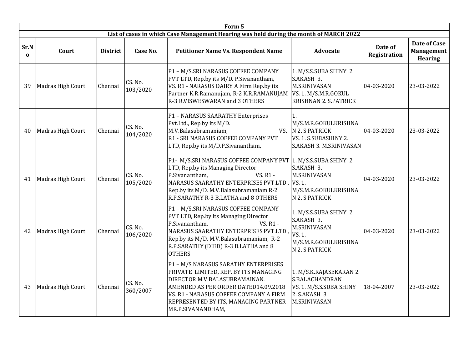|                  |                   |                 |                     | List of cases in which Case Management Hearing was held during the month of MARCH 2022                                                                                                                                                                           |                                                                                                                 |                                |                                                     |
|------------------|-------------------|-----------------|---------------------|------------------------------------------------------------------------------------------------------------------------------------------------------------------------------------------------------------------------------------------------------------------|-----------------------------------------------------------------------------------------------------------------|--------------------------------|-----------------------------------------------------|
| Sr.N<br>$\Omega$ | Court             | <b>District</b> | Case No.            | <b>Petitioner Name Vs. Respondent Name</b>                                                                                                                                                                                                                       | <b>Advocate</b>                                                                                                 | Date of<br><b>Registration</b> | Date of Case<br><b>Management</b><br><b>Hearing</b> |
| 39               | Madras High Court | Chennai         | CS. No.<br>103/2020 | P1 - M/S.SRI NARASUS COFFEE COMPANY<br>PVT LTD, Rep.by its M/D. P.Sivanantham,<br>VS. R1 - NARASUS DAIRY A Firm Rep.by its<br>Partner K.R.Ramanujam, R-2 K.R.RAMANUJAM   VS. 1. M/S.M.R.GOKUL<br>R-3 R.VISWESWARAN and 3 OTHERS                                  | 1. M/S.S.SUBA SHINY 2.<br>S.AKASH 3.<br><b>M.SRINIVASAN</b><br><b>KRISHNAN 2. S.PATRICK</b>                     | 04-03-2020                     | 23-03-2022                                          |
| 40               | Madras High Court | Chennai         | CS. No.<br>104/2020 | P1 - NARASUS SAARATHY Enterprises<br>Pvt.Ltd., Rep.by its M/D.<br>M.V.Balasubramaniam,<br>R1 - SRI NARASUS COFFEE COMPANY PVT<br>LTD, Rep.by its M/D.P.Sivanantham,                                                                                              | 1.<br>M/S.M.R.GOKULKRISHNA<br>VS. N 2. S.PATRICK<br>VS. 1. S.SUBASHINY 2.<br>S.AKASH 3. M.SRINIVASAN            | 04-03-2020                     | 23-03-2022                                          |
| 41               | Madras High Court | Chennai         | CS. No.<br>105/2020 | P1- M/S.SRI NARASUS COFFEE COMPANY PVT<br>LTD, Rep.by its Managing Director<br>VS. R1 -<br>P.Sivanantham,<br>NARASUS SAARATHY ENTERPRISES PVT.LTD., VS. 1.<br>Rep.by its M/D. M.V.Balasubramaniam R-2<br>R.P.SARATHY R-3 B.LATHA and 8 OTHERS                    | 1. M/S.S.SUBA SHINY 2.<br>S.AKASH 3.<br><b>M.SRINIVASAN</b><br>M/S.M.R.GOKULKRISHNA<br>N 2. S.PATRICK           | 04-03-2020                     | 23-03-2022                                          |
| 42               | Madras High Court | Chennai         | CS. No.<br>106/2020 | P1 - M/S.SRI NARASUS COFFEE COMPANY<br>PVT LTD, Rep.by its Managing Director<br><b>VS. R1 -</b><br>P.Sivanantham.<br>NARASUS SAARATHY ENTERPRISES PVT.LTD.,<br>Rep.by its M/D. M.V.Balasubramaniam, R-2<br>R.P.SARATHY (DIED) R-3 B.LATHA and 8<br><b>OTHERS</b> | 1. M/S.S.SUBA SHINY 2.<br>S.AKASH 3.<br><b>M.SRINIVASAN</b><br>VS. 1.<br>M/S.M.R.GOKULKRISHNA<br>N 2. S.PATRICK | 04-03-2020                     | 23-03-2022                                          |
| 43               | Madras High Court | Chennai         | CS. No.<br>360/2007 | P1 - M/S NARASUS SARATHY ENTERPRISES<br>PRIVATE LIMITED, REP. BY ITS MANAGING<br>DIRECTOR M.V.BALASUBRAMAINAN.<br>AMENDED AS PER ORDER DATED14.09.2018<br>VS. R1 - NARASUS COFFEE COMPANY A FIRM<br>REPRESENTED BY ITS, MANAGING PARTNER<br>MR.P.SIVANANDHAM,    | 1. M/S.K.RAJASEKARAN 2.<br>S.BALACHANDRAN<br>VS. 1. M/S.S.SUBA SHINY<br>2. S.AKASH 3.<br><b>M.SRINIVASAN</b>    | 18-04-2007                     | 23-03-2022                                          |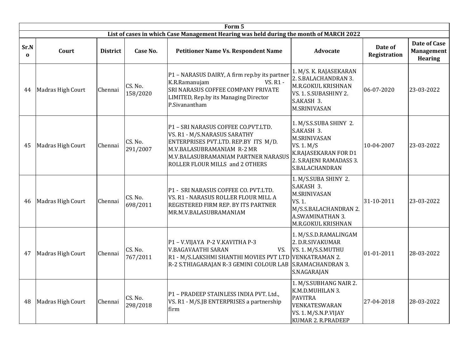|                  | Form 5            |                 |                     |                                                                                                                                                                                                                     |                                                                                                                                                |                                |                                                            |  |  |  |  |  |  |
|------------------|-------------------|-----------------|---------------------|---------------------------------------------------------------------------------------------------------------------------------------------------------------------------------------------------------------------|------------------------------------------------------------------------------------------------------------------------------------------------|--------------------------------|------------------------------------------------------------|--|--|--|--|--|--|
|                  |                   |                 |                     | List of cases in which Case Management Hearing was held during the month of MARCH 2022                                                                                                                              |                                                                                                                                                |                                |                                                            |  |  |  |  |  |  |
| Sr.N<br>$\Omega$ | Court             | <b>District</b> | Case No.            | <b>Petitioner Name Vs. Respondent Name</b>                                                                                                                                                                          | <b>Advocate</b>                                                                                                                                | Date of<br><b>Registration</b> | <b>Date of Case</b><br><b>Management</b><br><b>Hearing</b> |  |  |  |  |  |  |
| 44               | Madras High Court | Chennai         | CS. No.<br>158/2020 | P1 - NARASUS DAIRY, A firm rep.by its partner<br>K.R.Ramanujam<br>VS. R1 -<br>SRI NARASUS COFFEE COMPANY PRIVATE<br>LIMITED, Rep.by its Managing Director<br>P.Sivanantham                                          | 1. M/S. K. RAJASEKARAN<br>2. S.BALACHANDRAN 3.<br>M.R.GOKUL KRISHNAN<br>VS. 1. S.SUBASHINY 2.<br>S.AKASH 3.<br><b>M.SRINIVASAN</b>             | 06-07-2020                     | 23-03-2022                                                 |  |  |  |  |  |  |
| 45               | Madras High Court | Chennai         | CS. No.<br>291/2007 | P1 - SRI NARASUS COFFEE CO.PVT.LTD.<br>VS. R1 - M/S.NARASUS SARATHY<br>ENTERPRISES PVT.LTD. REP.BY ITS M/D.<br>M.V.BALASUBRAMANIAM R-2 MR<br>M.V.BALASUBRAMANIAM PARTNER NARASUS<br>ROLLER FLOUR MILLS and 2 OTHERS | 1. M/S.S.SUBA SHINY 2.<br>S.AKASH 3.<br><b>M.SRINIVASAN</b><br>VS. 1. M/S<br>K.RAJASEKARAN FOR D1<br>2. S.RAJENI RAMADASS 3.<br>S.BALACHANDRAN |                                | 23-03-2022                                                 |  |  |  |  |  |  |
| 46               | Madras High Court | Chennai         | CS. No.<br>698/2011 | P1 - SRI NARASUS COFFEE CO. PVT.LTD.<br>VS. R1 - NARASUS ROLLER FLOUR MILL A<br><b>REGISTERED FIRM REP. BY ITS PARTNER</b><br>MR.M.V.BALASUBRAMANIAM                                                                | 1. M/S.SUBA SHINY 2.<br>S.AKASH 3.<br><b>M.SRINIVASAN</b><br>VS. 1.<br>M/S.S.BALACHANDRAN 2.<br>A.SWAMINATHAN 3.<br>M.R.GOKUL KRISHNAN         | 31-10-2011                     | 23-03-2022                                                 |  |  |  |  |  |  |
| 47               | Madras High Court | Chennai         | CS. No.<br>767/2011 | P1 - V.VIJAYA P-2 V.KAVITHA P-3<br><b>V.BAGAVAATHI SARAN</b><br>VS.<br>R1 - M/S.LAKSHMI SHANTHI MOVIES PVT LTD<br>R-2 S.THIAGARAJAN R-3 GEMINI COLOUR LAB                                                           | 1. M/S.S.D.RAMALINGAM<br>2. D.R.SIVAKUMAR<br>VS. 1. M/S.S.MUTHU<br><b>VENKATRAMAN 2.</b><br><b>S.RAMACHANDRAN 3.</b><br>S.NAGARAJAN            | 01-01-2011                     | 28-03-2022                                                 |  |  |  |  |  |  |
| 48               | Madras High Court | Chennai         | CS. No.<br>298/2018 | P1 - PRADEEP STAINLESS INDIA PVT. Ltd.,<br>VS. R1 - M/S.JB ENTERPRISES a partnership<br>firm                                                                                                                        | 1. M/S.SUBHANG NAIR 2.<br>K.M.D.MUHILAN 3.<br><b>PAVITRA</b><br>VENKATESWARAN<br>VS. 1. M/S.N.P.VIJAY<br>KUMAR 2. R.PRADEEP                    | 27-04-2018                     | 28-03-2022                                                 |  |  |  |  |  |  |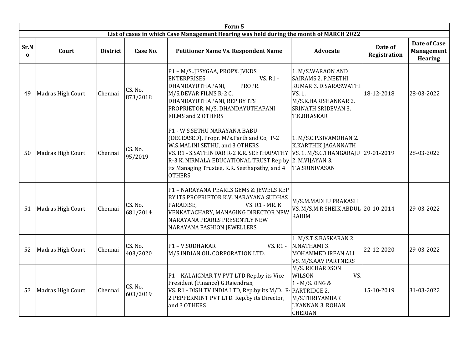|                  | Form 5            |                 |                     |                                                                                                                                                                                                                                                                                         |                                                                                                                                                                |                                |                                                     |  |  |  |  |  |  |
|------------------|-------------------|-----------------|---------------------|-----------------------------------------------------------------------------------------------------------------------------------------------------------------------------------------------------------------------------------------------------------------------------------------|----------------------------------------------------------------------------------------------------------------------------------------------------------------|--------------------------------|-----------------------------------------------------|--|--|--|--|--|--|
|                  |                   |                 |                     | List of cases in which Case Management Hearing was held during the month of MARCH 2022                                                                                                                                                                                                  |                                                                                                                                                                |                                |                                                     |  |  |  |  |  |  |
| Sr.N<br>$\bf{0}$ | Court             | <b>District</b> | Case No.            | <b>Petitioner Name Vs. Respondent Name</b>                                                                                                                                                                                                                                              | <b>Advocate</b>                                                                                                                                                | Date of<br><b>Registration</b> | Date of Case<br><b>Management</b><br><b>Hearing</b> |  |  |  |  |  |  |
| 49               | Madras High Court | Chennai         | CS. No.<br>873/2018 | P1 - M/S.JESYGAA, PROPX. JVKDS<br><b>ENTERPRISES</b><br>VS. R1 -<br>DHANDAYUTHAPANI,<br>PROPR.<br>M/S.DEVAR FILMS R-2 C.<br>DHANDAYUTHAPANI, REP BY ITS<br>PROPRIETOR, M/S. DHANDAYUTHAPANI<br>FILMS and 2 OTHERS                                                                       | 1. M/S.WARAON AND<br><b>SAIRAMS 2. P.NEETHI</b><br>KUMAR 3. D.SARASWATHI<br>VS. 1.<br>M/S.K.HARISHANKAR 2.<br><b>SRINATH SRIDEVAN 3.</b><br><b>T.K.BHASKAR</b> |                                |                                                     |  |  |  |  |  |  |
| 50               | Madras High Court | Chennai         | CS. No.<br>95/2019  | P1 - W.S.SETHU NARAYANA BABU<br>(DECEASED), Propr. M/s.Parth and Co, P-2<br>W.S.MALINI SETHU, and 3 OTHERS<br>VS. R1 - S.SATHINDAR R-2 K.R. SEETHAPATHY<br>R-3 K. NIRMALA EDUCATIONAL TRUST Rep by<br>2. M.VIJAYAN 3.<br>its Managing Trustee, K.R. Seethapathy, and 4<br><b>OTHERS</b> | VS. 1. M/S.C.THANGARAJU 29-01-2019                                                                                                                             | 28-03-2022                     |                                                     |  |  |  |  |  |  |
| 51               | Madras High Court | Chennai         | CS. No.<br>681/2014 | P1 - NARAYANA PEARLS GEMS & JEWELS REP<br>BY ITS PROPRIETOR K.V. NARAYANA SUDHAS<br>PARADISE.<br><b>VS. R1 - MR. K.</b><br>VENKATACHARY, MANAGING DIRECTOR NEW<br>NARAYANA PEARLS PRESENTLY NEW<br>NARAYANA FASHION JEWELLERS                                                           | M/S.M.MADHU PRAKASH<br>VS. M/S.M.R.SHEIK ABDUL 20-10-2014<br><b>RAHIM</b>                                                                                      |                                | 29-03-2022                                          |  |  |  |  |  |  |
| 52               | Madras High Court | Chennai         | CS. No.<br>403/2020 | P1-V.SUDHAKAR<br>VS. R1 -<br>M/S.INDIAN OIL CORPORATION LTD.                                                                                                                                                                                                                            | 1. M/S.T.S.BASKARAN 2.<br>N.NATHAMI 3.<br>MOHAMMED IRFAN ALI<br>VS. M/S.AAV PARTNERS                                                                           | 22-12-2020                     | 29-03-2022                                          |  |  |  |  |  |  |
| 53               | Madras High Court | Chennai         | CS. No.<br>603/2019 | P1 - KALAIGNAR TV PVT LTD Rep.by its Vice<br>President (Finance) G.Rajendran,<br>VS. R1 - DISH TV INDIA LTD, Rep.by its M/D. R-PARTRIDGE 2.<br>2 PEPPERMINT PVT.LTD. Rep.by its Director,<br>and 3 OTHERS                                                                               | M/S. RICHARDSON<br>VS.<br>WILSON<br>1 - M/S.KING &<br>M/S.THRIYAMBAK<br>J.KANNAN 3. ROHAN<br><b>CHERIAN</b>                                                    | 15-10-2019                     | 31-03-2022                                          |  |  |  |  |  |  |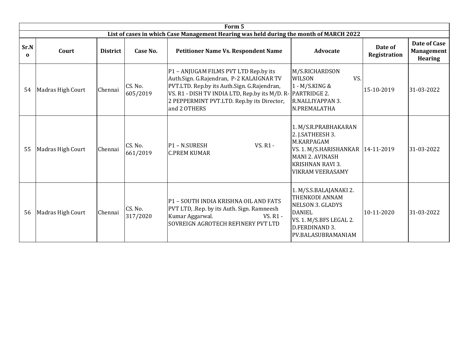|                  | Form 5            |                 |                     |                                                                                                                                                                                                                                                               |                                                                                                                                                                               |                                |                                                     |  |  |  |  |  |  |
|------------------|-------------------|-----------------|---------------------|---------------------------------------------------------------------------------------------------------------------------------------------------------------------------------------------------------------------------------------------------------------|-------------------------------------------------------------------------------------------------------------------------------------------------------------------------------|--------------------------------|-----------------------------------------------------|--|--|--|--|--|--|
|                  |                   |                 |                     | List of cases in which Case Management Hearing was held during the month of MARCH 2022                                                                                                                                                                        |                                                                                                                                                                               |                                |                                                     |  |  |  |  |  |  |
| Sr.N<br>$\Omega$ | Court             | <b>District</b> | Case No.            | <b>Petitioner Name Vs. Respondent Name</b>                                                                                                                                                                                                                    | <b>Advocate</b>                                                                                                                                                               | Date of<br><b>Registration</b> | Date of Case<br><b>Management</b><br><b>Hearing</b> |  |  |  |  |  |  |
| 54               | Madras High Court | Chennai         | CS. No.<br>605/2019 | P1 - ANJUGAM FILMS PVT LTD Rep.by its<br>Auth.Sign. G.Rajendran, P-2 KALAIGNAR TV<br>PVT.LTD. Rep.by its Auth.Sign. G.Rajendran,<br>VS. R1 - DISH TV INDIA LTD, Rep.by its M/D. R- PARTRIDGE 2.<br>2 PEPPERMINT PVT.LTD. Rep.by its Director,<br>and 2 OTHERS | M/S.RICHARDSON<br>VS.<br>WILSON<br>1 - M/S.KING &<br>R.NALLIYAPPAN 3.<br>N.PREMALATHA                                                                                         | 15-10-2019                     | 31-03-2022                                          |  |  |  |  |  |  |
| 55               | Madras High Court | Chennai         | CS. No.<br>661/2019 | <b>VS. R1 -</b><br>P1 - N.SURESH<br><b>C.PREM KUMAR</b>                                                                                                                                                                                                       | 1. M/S.R.PRABHAKARAN<br>2. J.SATHEESH 3.<br>M.KARPAGAM<br>VS. 1. M/S.HARISHANKAR   14-11-2019<br><b>MANI 2. AVINASH</b><br><b>KRISHNAN RAVI 3.</b><br><b>VIKRAM VEERASAMY</b> |                                | 31-03-2022                                          |  |  |  |  |  |  |
| 56               | Madras High Court | Chennai         | CS. No.<br>317/2020 | P1 - SOUTH INDIA KRISHNA OIL AND FATS<br>PVT LTD, .Rep. by its Auth. Sign. Ramneesh<br>Kumar Aggarwal.<br>VS. R1 -<br>SOVREIGN AGROTECH REFINERY PVT LTD                                                                                                      | 1. M/S.S.BALAJANAKI 2.<br>THENKODI ANNAM<br><b>NELSON 3. GLADYS</b><br><b>DANIEL</b><br>VS. 1. M/S.BFS LEGAL 2.<br>D.FERDINAND 3.<br>PV.BALASUBRAMANIAM                       | 10-11-2020                     | 31-03-2022                                          |  |  |  |  |  |  |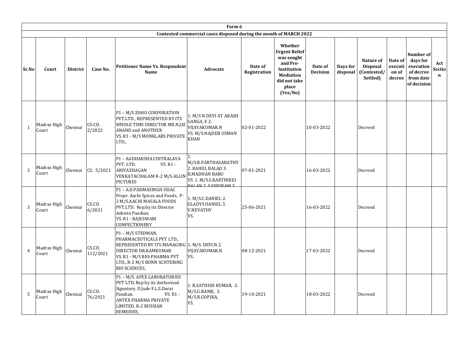|                | Form 6               |                 |                    |                                                                                                                                                                                                                |                                                                                                                                 |                         |                                                                                                                                   |                            |                      |                                                         |                                       |                                                                             |                              |
|----------------|----------------------|-----------------|--------------------|----------------------------------------------------------------------------------------------------------------------------------------------------------------------------------------------------------------|---------------------------------------------------------------------------------------------------------------------------------|-------------------------|-----------------------------------------------------------------------------------------------------------------------------------|----------------------------|----------------------|---------------------------------------------------------|---------------------------------------|-----------------------------------------------------------------------------|------------------------------|
|                |                      |                 |                    |                                                                                                                                                                                                                | Contested commercial cases disposed during the month of MARCH 2022                                                              |                         |                                                                                                                                   |                            |                      |                                                         |                                       |                                                                             |                              |
| Sr.No          | Court                | <b>District</b> | Case No.           | <b>Petitioner Name Vs. Respondent</b><br>Name                                                                                                                                                                  | Advocate                                                                                                                        | Date of<br>Registration | Whether<br><b>Urgent Relief</b><br>was sought<br>and Pre-<br>Institution<br><b>Mediation</b><br>did not take<br>place<br>(Yes/No) | Date of<br><b>Decision</b> | Days for<br>disposal | Nature of<br><b>Disposal</b><br>(Contested/<br>Settled) | Date of<br>executi<br>on of<br>decree | Number of<br>days for<br>execution<br>of decree<br>from date<br>of decision | Act<br>Sectio<br>$\mathbf n$ |
| $\mathbf{1}$   | Madras High<br>Court | Chennai         | CS.CD.<br>2/2022   | P1 - M/S ZOHO CORPORATION<br>PVT.LTD., REPRESENTED BY ITS<br>WHOLE TIME DIRECTOR MR.N.JAI<br><b>ANAND and ANOTHER</b><br>VS. R1 - M/S MONKLABS PRIVATE<br>LTD.,                                                | 1. M/S N.DEVI AT AKASH<br>GANGA, E 2.<br>VIJAYAKUMAR.N<br>VS. M/S.NAJEEB USMAN<br><b>KHAN</b>                                   | 02-01-2022              |                                                                                                                                   | 10-03-2022                 |                      | Decreed                                                 |                                       |                                                                             |                              |
| 2              | Madras High<br>Court | Chennai         | CS. 5/2021         | P1 - AADHARSHA CHITRALAYA<br>PVT. LTD.<br>VS. R1 -<br>ARIVAZHAGAN<br><b>VENKATACHALAM R-2 M/S.ALLIN</b><br><b>PICTURES</b>                                                                                     | 1.<br>M/S.R.PARTHASARATHY<br>2. RAHUL BALAJI 3.<br><b>B.MADHAN BABU</b><br>VS. 1. M/S.S.KARTHIKEI<br><b>RALAN 2 S SHIVRAM 3</b> | 07-01-2021              |                                                                                                                                   | 16-03-2022                 |                      | Decreed                                                 |                                       |                                                                             |                              |
| $\overline{3}$ | Madras High<br>Court | Chennai         | CS.CD.<br>6/2021   | P1-A.D.PADMASINGH ISSAC<br>Propr. Aachi Spices and Foods, P-<br>2 M/S.AACHI MASALA FOODS<br>PVT.LTD. Rep.by its Director<br>Ashwin Pandian<br>VS. R1 - RAJESWARI<br>CONFECTIONERY                              | 1. M/S.C.DANIEL 2.<br><b>GLADYS DANIEL 3.</b><br><b>V.REVATHY</b><br>VS.                                                        | 25-06-2021              |                                                                                                                                   | 16-03-2022                 |                      | Decreed                                                 |                                       |                                                                             |                              |
| $\overline{4}$ | Madras High<br>Court | Chennai         | CS.CD.<br>112/2021 | P1 - M/S STEDMAN,<br>PHARMACEUTICALS PVT LTD.,<br>REPRESENTED BY ITS MANAGING 1. M/S. DEVI.N 2.<br>DIRECTOR DR.RAMKUMAR<br>VS. R1 - M/S BIO-PHARMA PVT<br>LTD., R-2 M/S BONN SCHTERING<br><b>BIO SCIENCES,</b> | VIJAYAKUMAR.N<br>VS.                                                                                                            | 08-12-2021              |                                                                                                                                   | 17-03-2022                 |                      | Decreed                                                 |                                       |                                                                             |                              |
| 5              | Madras High<br>Court | Chennai         | CS.CD.<br>76/2021  | P1 - M/S. APEX LABORATORIES<br>PVT LTD, Rep by its Authorised<br>Signatory, D.Jude F.L.S.Durai<br>Pandian.<br>VS. R1 -<br>ANTEX PHARMA PRIVATE<br>LIMITED, R-2 RUSSIAN<br>REMEDIES,                            | 1. R.SATHISH KUMAR, 2.<br>M/S.G.RAMJI, 3.<br>M/S.R.GOPIKA,<br>VS.                                                               | 19-10-2021              |                                                                                                                                   | 18-03-2022                 |                      | Decreed                                                 |                                       |                                                                             |                              |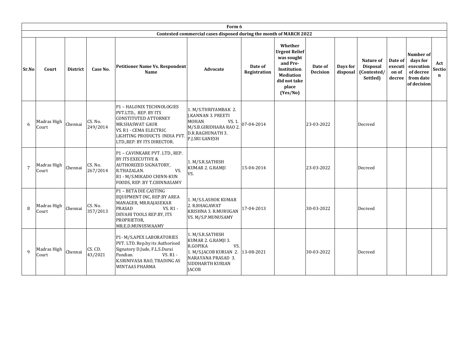|                |                      |                 |                     |                                                                                                                                                                                               | Form 6                                                                                                                                         |                         |                                                                                                                                   |                            |                      |                                                         |                                       |                                                                             |                                     |
|----------------|----------------------|-----------------|---------------------|-----------------------------------------------------------------------------------------------------------------------------------------------------------------------------------------------|------------------------------------------------------------------------------------------------------------------------------------------------|-------------------------|-----------------------------------------------------------------------------------------------------------------------------------|----------------------------|----------------------|---------------------------------------------------------|---------------------------------------|-----------------------------------------------------------------------------|-------------------------------------|
|                |                      |                 |                     |                                                                                                                                                                                               | Contested commercial cases disposed during the month of MARCH 2022                                                                             |                         |                                                                                                                                   |                            |                      |                                                         |                                       |                                                                             |                                     |
| Sr.No          | Court                | <b>District</b> | Case No.            | <b>Petitioner Name Vs. Respondent</b><br>Name                                                                                                                                                 | <b>Advocate</b>                                                                                                                                | Date of<br>Registration | Whether<br><b>Urgent Relief</b><br>was sought<br>and Pre-<br>Institution<br><b>Mediation</b><br>did not take<br>place<br>(Yes/No) | Date of<br><b>Decision</b> | Days for<br>disposal | Nature of<br><b>Disposal</b><br>(Contested/<br>Settled) | Date of<br>executi<br>on of<br>decree | Number of<br>days for<br>execution<br>of decree<br>from date<br>of decision | Act<br><b>Sectio</b><br>$\mathbf n$ |
| 6              | Madras High<br>Court | Chennai         | CS. No.<br>249/2014 | P1 - HALONIX TECHNOLOGIES<br>PVT.LTD., REP. BY ITS<br>CONSTITUTED ATTORNEY<br><b>MR.SHASWAT GAUR</b><br>VS. R1 - CEMA ELECTRIC<br>LIGHTING PRODUCTS INDIA PVT.<br>LTD., REP. BY ITS DIRECTOR. | 1. M/S.THRIYAMBAK 2.<br>J.KANNAN 3. PREETI<br><b>MOHAN</b><br>VS. 1.<br>M/S.B.GIRIDHARA RAO 2.<br>D.R.RAGHUNATH 3.<br>P.J.SRI GANESH           | 07-04-2014              |                                                                                                                                   | 23-03-2022                 |                      | Decreed                                                 |                                       |                                                                             |                                     |
| $\overline{7}$ | Madras High<br>Court | Chennai         | CS. No.<br>267/2014 | P1 - CAVINKARE PVT. LTD., REP.<br><b>BY ITS EXECUTIVE &amp;</b><br>AUTHORIZED SIGNATORY,<br>R.THAZALAN.<br>VS.<br>R1 - M/S.MIKADO CHINN-KUN<br>FOODS, REP. BY T.CHINNASAMY                    | 1. M/S.R.SATHISH<br>KUMAR 2. G.RAMJI<br>VS.                                                                                                    | 15-04-2014              |                                                                                                                                   | 23-03-2022                 |                      | Decreed                                                 |                                       |                                                                             |                                     |
| 8              | Madras High<br>Court | Chennai         | CS. No.<br>357/2013 | P1 - BETA DIE CASTING<br>EQUIPMENT INC, REP.BY AREA<br>MANAGER, MR.RAJASEKAR<br><b>PRASAD</b><br>VS. R1 -<br>DEVAHI TOOLS REP.BY, ITS<br>PROPRIETOR,<br>MR.E.D.MUNUSWAAMY                     | 1. M/S.S.ASHOK KUMAR<br>2. R.BHAGAWAT<br>KRISHNA 3. R.MURUGAN<br>VS. M/S.P.MUNUSAMY                                                            | 17-04-2013              |                                                                                                                                   | 30-03-2022                 |                      | Decreed                                                 |                                       |                                                                             |                                     |
| $\mathbf{q}$   | Madras High<br>Court | Chennai         | CS. CD.<br>43/2021  | P1- M/S.APEX LABORATORIES<br>PVT. LTD. Rep.by its Authorised<br>Signatory D.Jude, F.L.S.Durai<br>Pandian.<br>VS. R1 -<br>K.SRINIVASA RAO, TRADING AS<br><b>WINTAAS PHARMA</b>                 | 1. M/S.R.SATHISH<br>KUMAR 2. G.RAMJI 3.<br>R.GOPIKA<br>VS.<br>1. M/S.JACOB KURIAN 2.<br>NARAYANA PRASAD 3.<br>SIDDHARTH KURIAN<br><b>JACOB</b> | 13-08-2021              |                                                                                                                                   | 30-03-2022                 |                      | Decreed                                                 |                                       |                                                                             |                                     |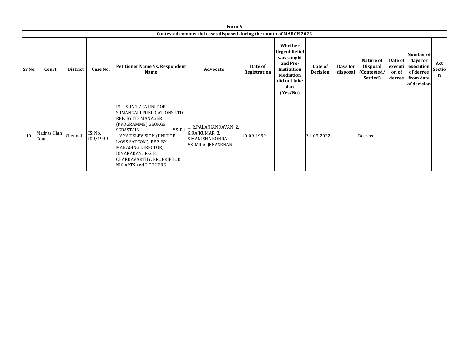|       |                      |          |                     |                                                                                                                                                                                                                                                                                                | Form 6                                                                                  |                         |                                                                                                                                   |                            |          |                                                                  |                                       |                                                                             |                    |
|-------|----------------------|----------|---------------------|------------------------------------------------------------------------------------------------------------------------------------------------------------------------------------------------------------------------------------------------------------------------------------------------|-----------------------------------------------------------------------------------------|-------------------------|-----------------------------------------------------------------------------------------------------------------------------------|----------------------------|----------|------------------------------------------------------------------|---------------------------------------|-----------------------------------------------------------------------------|--------------------|
|       |                      |          |                     |                                                                                                                                                                                                                                                                                                | Contested commercial cases disposed during the month of MARCH 2022                      |                         |                                                                                                                                   |                            |          |                                                                  |                                       |                                                                             |                    |
| Sr.No | Court                | District | Case No.            | <b>Petitioner Name Vs. Respondent</b><br><b>Name</b>                                                                                                                                                                                                                                           | Advocate                                                                                | Date of<br>Registration | Whether<br><b>Urgent Relief</b><br>was sought<br>and Pre-<br>Institution<br><b>Mediation</b><br>did not take<br>place<br>(Yes/No) | Date of<br><b>Decision</b> | Days for | Nature of<br><b>Disposal</b><br>disposal (Contested/<br>Settled) | Date of<br>executi<br>on of<br>decree | Number of<br>days for<br>execution<br>of decree<br>from date<br>of decision | Act<br>Sectio<br>n |
| 10    | Madras High<br>Court | Chennai  | CS. No.<br>709/1999 | P1 - SUN TV (A UNIT OF<br>SUMANGALI PUBLICATIONS LTD)<br>REP. BY ITS MANAGER<br>(PROGRAMME) GEORGE<br><b>VS. R1</b><br><b>SEBASTAIN</b><br>JAYA TELEVISION (UNIT OF<br>LAVIS SATCOM), REP. BY<br>MANAGING DIRECTOR,<br>DINAKARAN, R-2 B.<br>CHAKRAVARTHY, PROPRIETOR,<br>NIC ARTS and 2 OTHERS | 1. R.PALANIANDAVAN 2.<br>G.RAJKUMAR 3.<br><b>S.MANISHA BOHRA</b><br>VS. MR.A. JENASENAN | 10-09-1999              |                                                                                                                                   | 31-03-2022                 |          | Decreed                                                          |                                       |                                                                             |                    |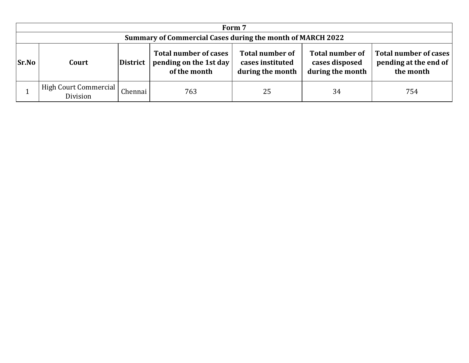|              |                                                            |         |                                                                        | Form 7                                                         |                                                              |                                                             |  |  |  |  |  |  |
|--------------|------------------------------------------------------------|---------|------------------------------------------------------------------------|----------------------------------------------------------------|--------------------------------------------------------------|-------------------------------------------------------------|--|--|--|--|--|--|
|              | Summary of Commercial Cases during the month of MARCH 2022 |         |                                                                        |                                                                |                                                              |                                                             |  |  |  |  |  |  |
| <b>Sr.No</b> | District<br>Court                                          |         | <b>Total number of cases</b><br>pending on the 1st day<br>of the month | <b>Total number of</b><br>cases instituted<br>during the month | <b>Total number of</b><br>cases disposed<br>during the month | Total number of cases<br>pending at the end of<br>the month |  |  |  |  |  |  |
|              | High Court Commercial<br>Division                          | Chennai | 763                                                                    | 25                                                             | 34                                                           | 754                                                         |  |  |  |  |  |  |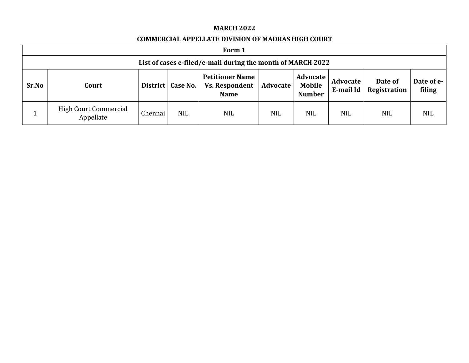#### **MARCH 2022**

### **COMMERCIAL APPELLATE DIVISION OF MADRAS HIGH COURT**

|                                                                                                                                                                                                   | Form 1                                                      |         |            |            |            |                         |                      |            |            |  |  |  |
|---------------------------------------------------------------------------------------------------------------------------------------------------------------------------------------------------|-------------------------------------------------------------|---------|------------|------------|------------|-------------------------|----------------------|------------|------------|--|--|--|
|                                                                                                                                                                                                   | List of cases e-filed/e-mail during the month of MARCH 2022 |         |            |            |            |                         |                      |            |            |  |  |  |
| <b>Petitioner Name</b><br><b>Advocate</b><br>Advocate<br>Sr.No<br><b>Mobile</b><br>District   Case No.<br>Advocate<br><b>Vs. Respondent</b><br>Court<br>E-mail Id<br><b>Number</b><br><b>Name</b> |                                                             |         |            |            |            | Date of<br>Registration | Date of e-<br>filing |            |            |  |  |  |
|                                                                                                                                                                                                   | <b>High Court Commercial</b><br>Appellate                   | Chennai | <b>NIL</b> | <b>NIL</b> | <b>NIL</b> | <b>NIL</b>              | <b>NIL</b>           | <b>NIL</b> | <b>NIL</b> |  |  |  |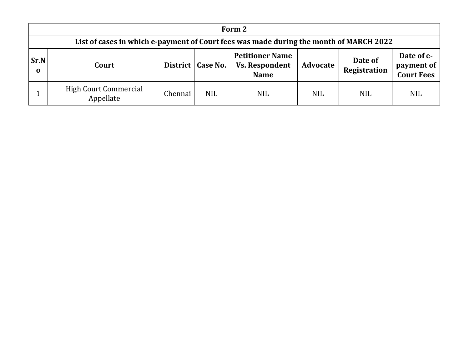|                         | Form 2                                                                                 |                                                                                       |            |                                |                                               |            |            |  |  |  |  |  |  |
|-------------------------|----------------------------------------------------------------------------------------|---------------------------------------------------------------------------------------|------------|--------------------------------|-----------------------------------------------|------------|------------|--|--|--|--|--|--|
|                         | List of cases in which e-payment of Court fees was made during the month of MARCH 2022 |                                                                                       |            |                                |                                               |            |            |  |  |  |  |  |  |
| <b>Sr.N</b><br>$\bf{0}$ | Court                                                                                  | <b>Petitioner Name</b><br><b>Vs. Respondent</b><br>District   Case No.<br><b>Name</b> | Advocate   | Date of<br><b>Registration</b> | Date of e-<br>payment of<br><b>Court Fees</b> |            |            |  |  |  |  |  |  |
|                         | <b>High Court Commercial</b><br>Appellate                                              | Chennai                                                                               | <b>NIL</b> | <b>NIL</b>                     | <b>NIL</b>                                    | <b>NIL</b> | <b>NIL</b> |  |  |  |  |  |  |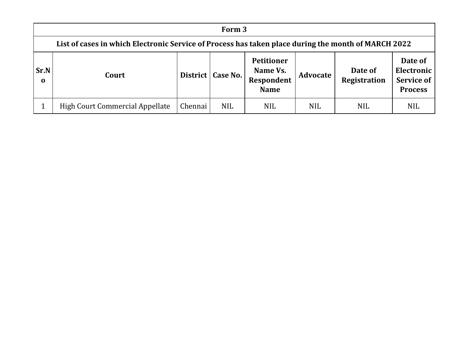|                                                                                                                                                                                                                                 | Form 3                                                                                              |         |            |            |            |            |            |  |  |  |  |  |
|---------------------------------------------------------------------------------------------------------------------------------------------------------------------------------------------------------------------------------|-----------------------------------------------------------------------------------------------------|---------|------------|------------|------------|------------|------------|--|--|--|--|--|
|                                                                                                                                                                                                                                 | List of cases in which Electronic Service of Process has taken place during the month of MARCH 2022 |         |            |            |            |            |            |  |  |  |  |  |
| <b>Petitioner</b><br>Date of<br>Sr.N<br>Electronic<br>Name Vs.<br>Date of<br>District   Case No.<br>Advocate<br>Court<br>Registration<br><b>Service of</b><br><b>Respondent</b><br>$\mathbf 0$<br><b>Name</b><br><b>Process</b> |                                                                                                     |         |            |            |            |            |            |  |  |  |  |  |
|                                                                                                                                                                                                                                 | High Court Commercial Appellate                                                                     | Chennai | <b>NIL</b> | <b>NIL</b> | <b>NIL</b> | <b>NIL</b> | <b>NIL</b> |  |  |  |  |  |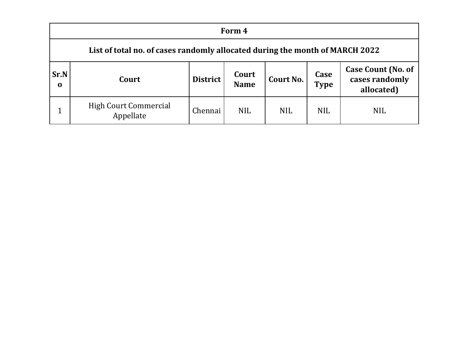|                  | Form 4                                                                       |                 |                      |            |                     |                                                           |  |  |  |  |  |  |
|------------------|------------------------------------------------------------------------------|-----------------|----------------------|------------|---------------------|-----------------------------------------------------------|--|--|--|--|--|--|
|                  | List of total no. of cases randomly allocated during the month of MARCH 2022 |                 |                      |            |                     |                                                           |  |  |  |  |  |  |
| Sr.N<br>$\bf{0}$ | Court                                                                        | <b>District</b> | Court<br><b>Name</b> | Court No.  | Case<br><b>Type</b> | <b>Case Count (No. of</b><br>cases randomly<br>allocated) |  |  |  |  |  |  |
|                  | <b>High Court Commercial</b><br>Appellate                                    | Chennai         | <b>NIL</b>           | <b>NIL</b> | <b>NIL</b>          | <b>NIL</b>                                                |  |  |  |  |  |  |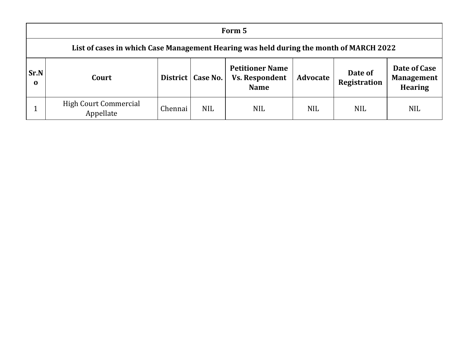|                         | Form 5                                                                                 |         |                     |                                                                |            |                                |                                              |  |  |  |  |  |
|-------------------------|----------------------------------------------------------------------------------------|---------|---------------------|----------------------------------------------------------------|------------|--------------------------------|----------------------------------------------|--|--|--|--|--|
|                         | List of cases in which Case Management Hearing was held during the month of MARCH 2022 |         |                     |                                                                |            |                                |                                              |  |  |  |  |  |
| <b>Sr.N</b><br>$\bf{0}$ | Court                                                                                  |         | District   Case No. | <b>Petitioner Name</b><br><b>Vs. Respondent</b><br><b>Name</b> | Advocate   | Date of<br><b>Registration</b> | Date of Case<br>Management<br><b>Hearing</b> |  |  |  |  |  |
|                         | <b>High Court Commercial</b><br>Appellate                                              | Chennai | <b>NIL</b>          | <b>NIL</b>                                                     | <b>NIL</b> | <b>NIL</b>                     | <b>NIL</b>                                   |  |  |  |  |  |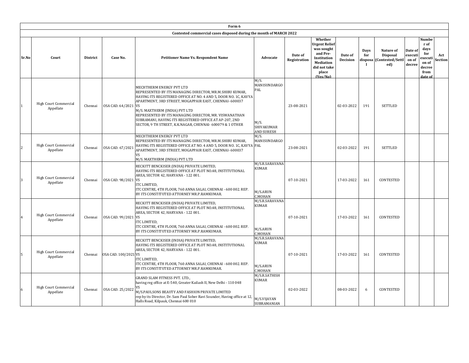|                |                                    |                 |                      | Form 6                                                                                                                                                                                                                                                                                                                                                                                                                            |                                                                        |                         |                                                                                                                            |                     |                    |                                                                 |                                       |                                                                              |                       |
|----------------|------------------------------------|-----------------|----------------------|-----------------------------------------------------------------------------------------------------------------------------------------------------------------------------------------------------------------------------------------------------------------------------------------------------------------------------------------------------------------------------------------------------------------------------------|------------------------------------------------------------------------|-------------------------|----------------------------------------------------------------------------------------------------------------------------|---------------------|--------------------|-----------------------------------------------------------------|---------------------------------------|------------------------------------------------------------------------------|-----------------------|
|                |                                    |                 |                      | Contested commercial cases disposed during the month of MARCH 2022                                                                                                                                                                                                                                                                                                                                                                |                                                                        |                         |                                                                                                                            |                     |                    |                                                                 |                                       |                                                                              |                       |
| Sr.No          | Court                              | <b>District</b> | Case No.             | Petitioner Name Vs. Respondent Name                                                                                                                                                                                                                                                                                                                                                                                               | Advocate                                                               | Date of<br>Registration | Whether<br>Urgent Relief<br>was sought<br>and Pre-<br>Institution<br><b>Mediation</b><br>did not take<br>place<br>(Yes/No) | Date of<br>Decision | <b>Days</b><br>for | Nature of<br><b>Disposal</b><br>disposa (Contested/Settl<br>ed) | Date of<br>executi<br>on of<br>decree | Numbe<br>r of<br>days<br>for<br>executi<br>on of<br>decree<br>from<br>date o | Act<br><b>Section</b> |
|                | High Court Commercial<br>Appellate | Chennai         | OSA CAD. 64/2021 VS  | MECHTHERM ENERGY PVT LTD<br>REPRESENTED BY ITS MANAGING DIRECTOR, MR.M.SHIBU KUMAR,<br>HAVING ITS REGISTERED OFFICE AT NO. 4 AND 5, DOOR NO. 1C, KAVYA<br>APARTMENT, 3RD STREET, MOGAPPAIR EAST, CHENNAI- 600037<br>M/S. MAXTHERM (INDIA) PVT LTD<br>REPRESENTED BY ITS MANAGING DIRECTOR, MR. VISWANATHAN<br>SUBRAMANI, HAVING ITS REGISTERED OFFICE AT AP-207, 2ND<br>SECTOR, 9 TH STREET, K.K.NAGAR, CHENNAI- 600079 & 1 OTHER | M/S.<br><b>MANISUNDARGO</b><br>PAL<br>M/S.<br>SHIVAKUMAR<br>AND SURESH | 23-08-2021              |                                                                                                                            | 02-03-2022          | 191                | <b>SETTLED</b>                                                  |                                       |                                                                              |                       |
| $\overline{2}$ | High Court Commercial<br>Appellate | Chennai         | OSA CAD. 67/2021     | MECHTHERM ENERGY PVT LTD<br>REPRESENTED BY ITS MANAGING DIRECTOR, MR.M.SHIBU KUMAR,<br>HAVING ITS REGISTERED OFFICE AT NO. 4 AND 5, DOOR NO. 1C, KAVYA PAL<br>APARTMENT, 3RD STREET, MOGAPPAIR EAST, CHENNAI- 600037<br>VS<br>M/S. MAXTHERM (INDIA) PVT LTD                                                                                                                                                                       | M/S.<br>MANISUNDARGO                                                   | 23-08-2021              |                                                                                                                            | 02-03-2022          | 191                | <b>SETTLED</b>                                                  |                                       |                                                                              |                       |
|                | High Court Commercial<br>Appellate | Chennai         | OSA CAD. 98/2021 VS  | RECKITT BENCKISER (INDIA) PRIVATE LIMITED,<br>HAVING ITS REGISTERED OFFICE AT PLOT NO.48, INSTITUTIONAL<br>AREA, SECTOR 42, HARYANA - 122 001.<br>ITC LIMITED,<br>ITC CENTRE, 4TH FLOOR, 760 ANNA SALAI, CHENNAI - 600 002. REP.<br>BY ITS CONSTITUTED ATTORNEY MR.P.RAMKUMAR.                                                                                                                                                    | M/S.R.SARAVANA<br>KUMAR<br>M/S.ARUN<br>C.MOHAN                         | 07-10-2021              |                                                                                                                            | 17-03-2022          | 161                | <b>CONTESTED</b>                                                |                                       |                                                                              |                       |
| $\overline{4}$ | High Court Commercial<br>Appellate | Chennai         | OSA CAD. 99/2021 VS  | RECKITT BENCKISER (INDIA) PRIVATE LIMITED,<br>HAVING ITS REGISTERED OFFICE AT PLOT NO.48, INSTITUTIONAL<br>AREA, SECTOR 42, HARYANA - 122 001.<br>ITC LIMITED,<br>ITC CENTRE, 4TH FLOOR, 760 ANNA SALAI, CHENNAI - 600 002. REP.<br>BY ITS CONSTITUTED ATTORNEY MR.P.RAMKUMAR.                                                                                                                                                    | M/S.R.SARAVANA<br>KUMAR<br>M/S.ARUN<br>C.MOHAN                         | 07-10-2021              |                                                                                                                            | 17-03-2022          | 161                | CONTESTED                                                       |                                       |                                                                              |                       |
| 5              | High Court Commercial<br>Appellate | Chennai         | OSA CAD. 100/2021 VS | RECKITT BENCKISER (INDIA) PRIVATE LIMITED,<br>HAVING ITS REGISTERED OFFICE AT PLOT NO.48, INSTITUTIONAL<br>AREA, SECTOR 42, HARYANA - 122 001.<br>ITC LIMITED,<br>ITC CENTRE, 4TH FLOOR, 760 ANNA SALAI, CHENNAI - 600 002. REP.<br>BY ITS CONSTITUTED ATTORNEY MR.P.RAMKUMAR.                                                                                                                                                    | M/S.R.SARAVANA<br>KUMAR<br>M/S.ARUN<br>C.MOHAN                         | 07-10-2021              |                                                                                                                            | 17-03-2022          | 161                | CONTESTED                                                       |                                       |                                                                              |                       |
| 6              | High Court Commercial<br>Appellate | Chennai         | OSA CAD. 25/2022     | <b>GRAND SLAM FITNESS PVT. LTD.,</b><br>having reg office at E-540, Greater Kailash II, New Delhi - 110 048<br>VS<br>M/S.PAULSONS BEAUTY AND FASHION PRIVATE LIMITED<br>rep by its Director, Dr. Sam Paul Sober Ravi Sounder, Having office at 12,<br>Halls Road, Kilpauk, Chennai 600 010                                                                                                                                        | M/S.R.SATHISH<br>KUMAR<br>M/S.VIJAYAN<br>SUBRAMANIAN                   | 02-03-2022              |                                                                                                                            | 08-03-2022          | 6                  | <b>CONTESTED</b>                                                |                                       |                                                                              |                       |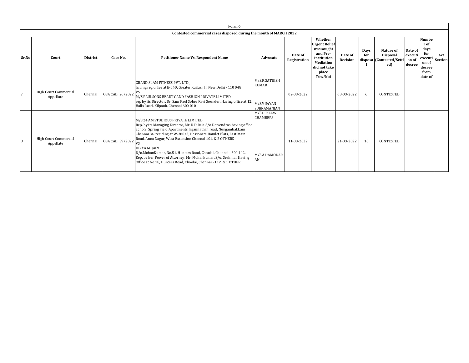|       |                                    |                 |                  | Form 6                                                                                                                                                                                                                                                                                                                                                                                                                                                                                                                                              |                                                                    |                         |                                                                                                                                   |                     |             |                                                                 |                                       |                                                                                      |                       |
|-------|------------------------------------|-----------------|------------------|-----------------------------------------------------------------------------------------------------------------------------------------------------------------------------------------------------------------------------------------------------------------------------------------------------------------------------------------------------------------------------------------------------------------------------------------------------------------------------------------------------------------------------------------------------|--------------------------------------------------------------------|-------------------------|-----------------------------------------------------------------------------------------------------------------------------------|---------------------|-------------|-----------------------------------------------------------------|---------------------------------------|--------------------------------------------------------------------------------------|-----------------------|
|       |                                    |                 |                  | Contested commercial cases disposed during the month of MARCH 2022                                                                                                                                                                                                                                                                                                                                                                                                                                                                                  |                                                                    |                         |                                                                                                                                   |                     |             |                                                                 |                                       |                                                                                      |                       |
| Sr.No | Court                              | <b>District</b> | Case No.         | Petitioner Name Vs. Respondent Name                                                                                                                                                                                                                                                                                                                                                                                                                                                                                                                 | Advocate                                                           | Date of<br>Registration | Whether<br><b>Urgent Relief</b><br>was sought<br>and Pre-<br>Institution<br><b>Mediation</b><br>did not take<br>place<br>(Yes/No) | Date of<br>Decision | Days<br>for | Nature of<br><b>Disposal</b><br>disposa (Contested/Settl<br>ed) | Date of<br>executi<br>on of<br>decree | <b>Numbe</b><br>r of<br>days<br>for<br>executi<br>on of<br>decree<br>from<br>date of | Act<br><b>Section</b> |
|       | High Court Commercial<br>Appellate | Chennai         | OSA CAD. 26/2022 | <b>GRAND SLAM FITNESS PVT. LTD.,</b><br>having reg office at E-540, Greater Kailash II, New Delhi - 110 048<br>M/S.PAULSONS BEAUTY AND FASHION PRIVATE LIMITED<br>rep by its Director, Dr. Sam Paul Sober Ravi Sounder, Having office at 12,<br>Halls Road, Kilpauk, Chennai 600 010                                                                                                                                                                                                                                                                | M/S.R.SATHISH<br><b>KUMAR</b><br>M/S.VIJAYAN<br><b>SUBRAMANIAN</b> | 02-03-2022              |                                                                                                                                   | 08-03-2022          | 6           | CONTESTED                                                       |                                       |                                                                                      |                       |
| 8     | High Court Commercial<br>Appellate | Chennai         | OSA CAD. 39/2022 | M/S.24 AM STUDIOUS PRIVATE LIMITED<br>Rep. by its Managing Director, Mr. R.D.Raja S/o Deivendran having office<br>at no.9, Spring Field Apartments Jagannathan road, Nungambakkam<br>Chennai 34. residing at W-380/3, Hessonate Hamlet Flats, East Main<br>Road, Anna Nagar, West Extension Chennai 101. & 2 OTHERS<br>DIVYA M. JAIN<br>D/o.MohanKumar, No.51, Hunters Road, Choolai, Chennai - 600 112.<br>Rep. by her Power of Attorney, Mr. Mohankumar, S/o. Seshmal, Having<br>Office at No.18, Hunters Road, Choolai, Chennai - 112. & 1 OTHER | M/S.D.R.LAW<br><b>CHAMBERS</b><br>M/S.A.DAMODAR<br>AN              | 11-03-2022              |                                                                                                                                   | 21-03-2022          | 10          | CONTESTED                                                       |                                       |                                                                                      |                       |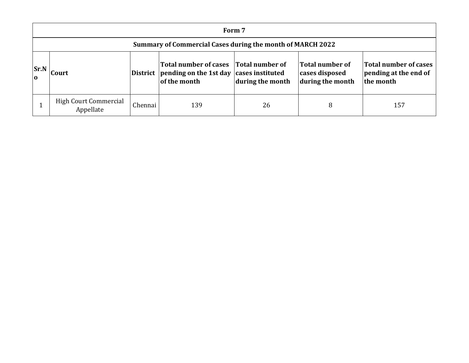|                                                                                                                                                                                                                                                                                                  | Form 7                                                            |         |     |    |   |     |  |  |  |  |  |  |
|--------------------------------------------------------------------------------------------------------------------------------------------------------------------------------------------------------------------------------------------------------------------------------------------------|-------------------------------------------------------------------|---------|-----|----|---|-----|--|--|--|--|--|--|
|                                                                                                                                                                                                                                                                                                  | <b>Summary of Commercial Cases during the month of MARCH 2022</b> |         |     |    |   |     |  |  |  |  |  |  |
| Total number of cases Total number of<br>Total number of cases<br><b>Total number of</b><br>Sr.N<br>District pending on the 1st day cases instituted<br>pending at the end of<br>cases disposed<br><b>Court</b><br>$\Omega$<br>of the month<br>during the month<br>during the month<br>the month |                                                                   |         |     |    |   |     |  |  |  |  |  |  |
|                                                                                                                                                                                                                                                                                                  | <b>High Court Commercial</b><br>Appellate                         | Chennai | 139 | 26 | 8 | 157 |  |  |  |  |  |  |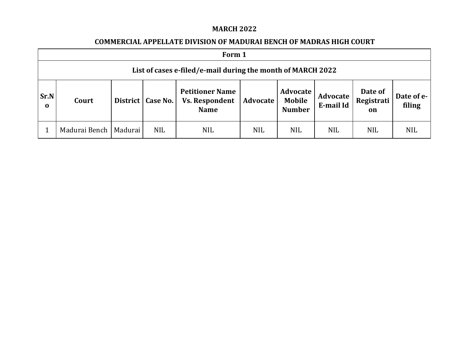### **MARCH 2022**

### **COMMERCIAL APPELLATE DIVISION OF MADURAI BENCH OF MADRAS HIGH COURT**

|                  | Form 1                                                      |  |            |                                                                |            |                                     |                       |                             |                      |  |  |  |
|------------------|-------------------------------------------------------------|--|------------|----------------------------------------------------------------|------------|-------------------------------------|-----------------------|-----------------------------|----------------------|--|--|--|
|                  | List of cases e-filed/e-mail during the month of MARCH 2022 |  |            |                                                                |            |                                     |                       |                             |                      |  |  |  |
| Sr.N<br>$\bf{0}$ | District  <br>Court                                         |  | Case No.   | <b>Petitioner Name</b><br><b>Vs. Respondent</b><br><b>Name</b> | Advocate   | Advocate<br>Mobile<br><b>Number</b> | Advocate<br>E-mail Id | Date of<br>Registrati<br>on | Date of e-<br>filing |  |  |  |
|                  | Madurai Bench   Madurai                                     |  | <b>NIL</b> | <b>NIL</b>                                                     | <b>NIL</b> | <b>NIL</b>                          | <b>NIL</b>            | <b>NIL</b>                  | <b>NIL</b>           |  |  |  |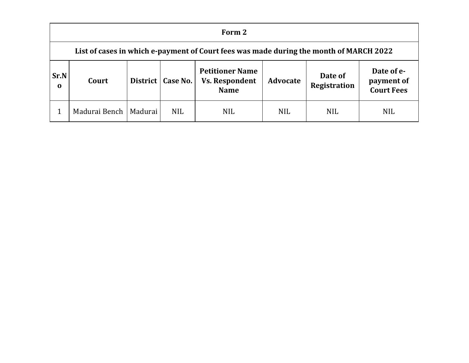|                      | Form 2                                                                                 |  |            |                                                                |                 |                                |                                               |  |  |  |  |  |
|----------------------|----------------------------------------------------------------------------------------|--|------------|----------------------------------------------------------------|-----------------|--------------------------------|-----------------------------------------------|--|--|--|--|--|
|                      | List of cases in which e-payment of Court fees was made during the month of MARCH 2022 |  |            |                                                                |                 |                                |                                               |  |  |  |  |  |
| Sr.N<br>$\mathbf{o}$ | District  <br>Court                                                                    |  | Case No.   | <b>Petitioner Name</b><br><b>Vs. Respondent</b><br><b>Name</b> | <b>Advocate</b> | Date of<br><b>Registration</b> | Date of e-<br>payment of<br><b>Court Fees</b> |  |  |  |  |  |
|                      | Madurai Bench   Madurai                                                                |  | <b>NIL</b> | <b>NIL</b>                                                     | <b>NIL</b>      | <b>NIL</b>                     | <b>NIL</b>                                    |  |  |  |  |  |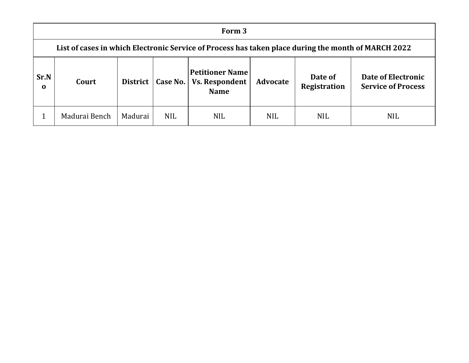|                                                                                                                               | Form 3                                                                                              |         |            |            |            |                                |                                                 |  |  |  |  |  |
|-------------------------------------------------------------------------------------------------------------------------------|-----------------------------------------------------------------------------------------------------|---------|------------|------------|------------|--------------------------------|-------------------------------------------------|--|--|--|--|--|
|                                                                                                                               | List of cases in which Electronic Service of Process has taken place during the month of MARCH 2022 |         |            |            |            |                                |                                                 |  |  |  |  |  |
| <b>Petitioner Name</b><br>Sr.N<br><b>Vs. Respondent</b><br><b>District</b><br>Case No.<br>Court<br>$\mathbf 0$<br><b>Name</b> |                                                                                                     |         |            |            | Advocate   | Date of<br><b>Registration</b> | Date of Electronic<br><b>Service of Process</b> |  |  |  |  |  |
|                                                                                                                               | Madurai Bench                                                                                       | Madurai | <b>NIL</b> | <b>NIL</b> | <b>NIL</b> | <b>NIL</b>                     | <b>NIL</b>                                      |  |  |  |  |  |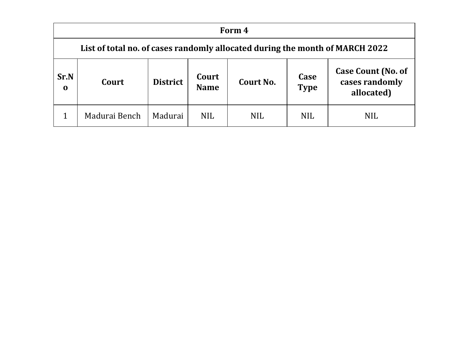|                                                                                                             | Form 4        |         |            |            |            |                                                           |  |  |  |  |  |  |
|-------------------------------------------------------------------------------------------------------------|---------------|---------|------------|------------|------------|-----------------------------------------------------------|--|--|--|--|--|--|
| List of total no. of cases randomly allocated during the month of MARCH 2022                                |               |         |            |            |            |                                                           |  |  |  |  |  |  |
| Sr.N<br>Case<br>Court<br><b>District</b><br>Court<br>Court No.<br><b>Type</b><br><b>Name</b><br>$\mathbf 0$ |               |         |            |            |            | <b>Case Count (No. of</b><br>cases randomly<br>allocated) |  |  |  |  |  |  |
|                                                                                                             | Madurai Bench | Madurai | <b>NIL</b> | <b>NIL</b> | <b>NIL</b> | <b>NIL</b>                                                |  |  |  |  |  |  |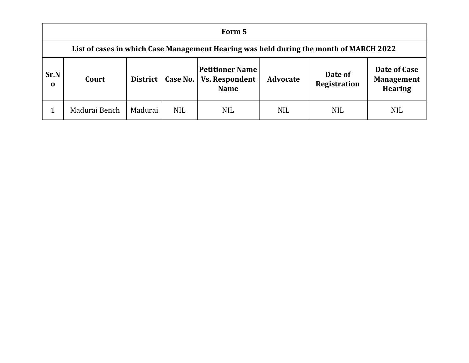|                  | Form 5                                                                                 |         |                     |                                                                |                 |                         |                                                     |  |  |  |  |  |
|------------------|----------------------------------------------------------------------------------------|---------|---------------------|----------------------------------------------------------------|-----------------|-------------------------|-----------------------------------------------------|--|--|--|--|--|
|                  | List of cases in which Case Management Hearing was held during the month of MARCH 2022 |         |                     |                                                                |                 |                         |                                                     |  |  |  |  |  |
| Sr.N<br>$\bf{0}$ | Court                                                                                  |         | District   Case No. | <b>Petitioner Name</b><br><b>Vs. Respondent</b><br><b>Name</b> | <b>Advocate</b> | Date of<br>Registration | Date of Case<br><b>Management</b><br><b>Hearing</b> |  |  |  |  |  |
|                  | Madurai Bench                                                                          | Madurai | <b>NIL</b>          | <b>NIL</b>                                                     | <b>NIL</b>      | <b>NIL</b>              | <b>NIL</b>                                          |  |  |  |  |  |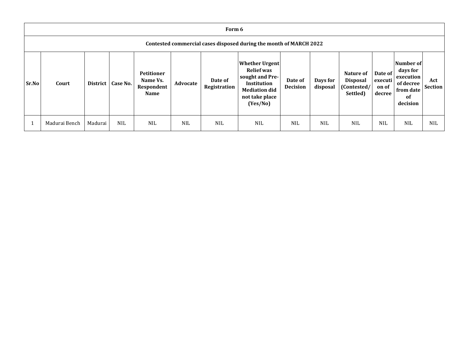|       | Form 6                                                             |                 |            |                                                            |            |                         |                                                                                                                                    |                            |                      |                                                         |                                       |                                                                                |                       |
|-------|--------------------------------------------------------------------|-----------------|------------|------------------------------------------------------------|------------|-------------------------|------------------------------------------------------------------------------------------------------------------------------------|----------------------------|----------------------|---------------------------------------------------------|---------------------------------------|--------------------------------------------------------------------------------|-----------------------|
|       | Contested commercial cases disposed during the month of MARCH 2022 |                 |            |                                                            |            |                         |                                                                                                                                    |                            |                      |                                                         |                                       |                                                                                |                       |
| Sr.No | Court                                                              | <b>District</b> | Case No.   | <b>Petitioner</b><br>Name Vs.<br>Respondent<br><b>Name</b> | Advocate   | Date of<br>Registration | <b>Whether Urgent</b><br><b>Relief was</b><br>sought and Pre-<br>Institution<br><b>Mediation did</b><br>not take place<br>(Yes/No) | Date of<br><b>Decision</b> | Days for<br>disposal | Nature of<br><b>Disposal</b><br>(Contested/<br>Settled) | Date of<br>executi<br>on of<br>decree | Number of<br>days for<br>execution<br>of decree<br>from date<br>of<br>decision | Act<br><b>Section</b> |
|       | Madurai Bench                                                      | Madurai         | <b>NIL</b> | <b>NIL</b>                                                 | <b>NIL</b> | <b>NIL</b>              | <b>NIL</b>                                                                                                                         | <b>NIL</b>                 | <b>NIL</b>           | <b>NIL</b>                                              | <b>NIL</b>                            | <b>NIL</b>                                                                     | <b>NIL</b>            |